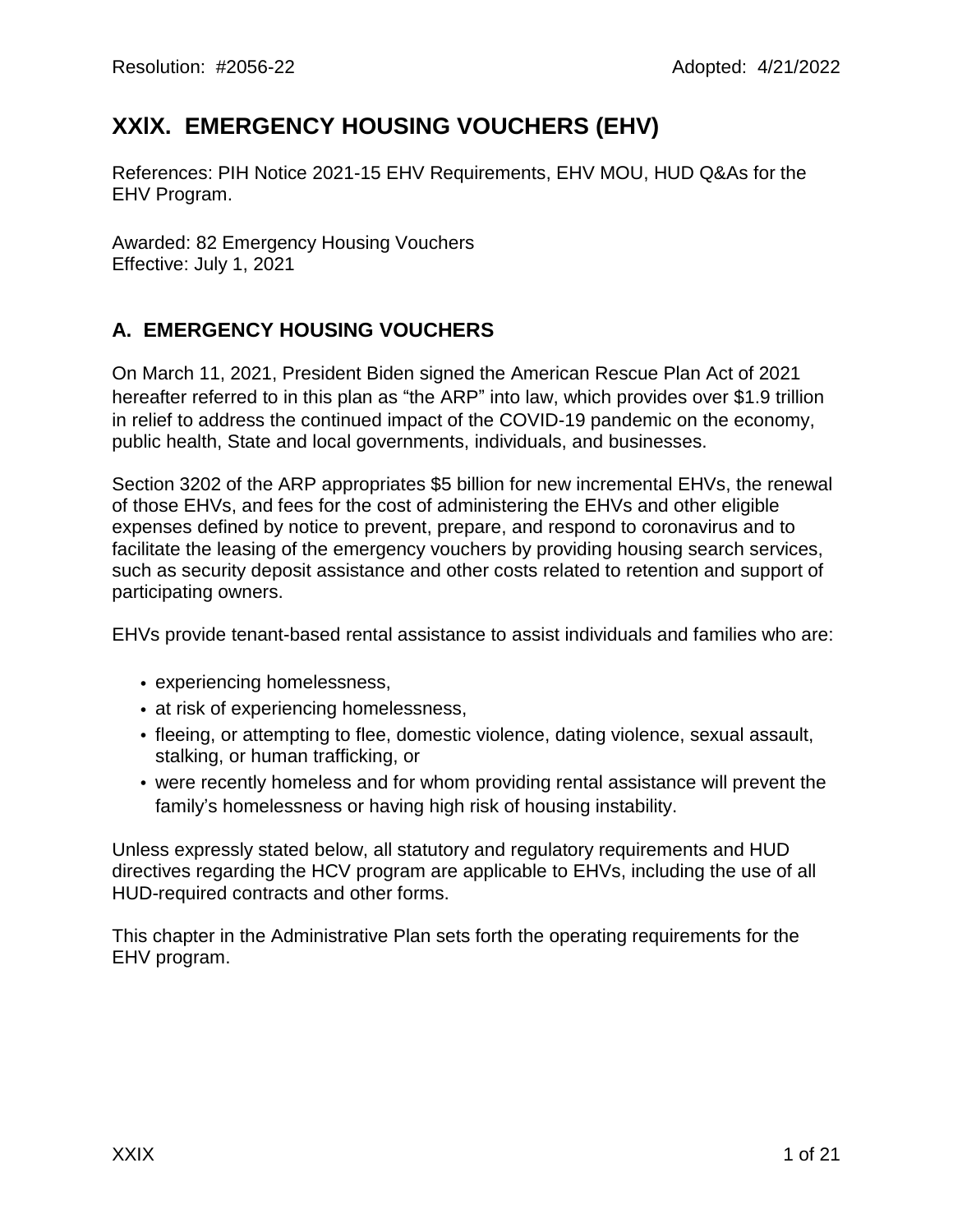# **XXlX. EMERGENCY HOUSING VOUCHERS (EHV)**

References: PIH Notice 2021-15 EHV Requirements, EHV MOU, HUD Q&As for the EHV Program.

Awarded: 82 Emergency Housing Vouchers Effective: July 1, 2021

# **A. EMERGENCY HOUSING VOUCHERS**

On March 11, 2021, President Biden signed the American Rescue Plan Act of 2021 hereafter referred to in this plan as "the ARP" into law, which provides over \$1.9 trillion in relief to address the continued impact of the COVID-19 pandemic on the economy, public health, State and local governments, individuals, and businesses.

Section 3202 of the ARP appropriates \$5 billion for new incremental EHVs, the renewal of those EHVs, and fees for the cost of administering the EHVs and other eligible expenses defined by notice to prevent, prepare, and respond to coronavirus and to facilitate the leasing of the emergency vouchers by providing housing search services, such as security deposit assistance and other costs related to retention and support of participating owners.

EHVs provide tenant-based rental assistance to assist individuals and families who are:

- experiencing homelessness,
- at risk of experiencing homelessness,
- fleeing, or attempting to flee, domestic violence, dating violence, sexual assault, stalking, or human trafficking, or
- were recently homeless and for whom providing rental assistance will prevent the family's homelessness or having high risk of housing instability.

Unless expressly stated below, all statutory and regulatory requirements and HUD directives regarding the HCV program are applicable to EHVs, including the use of all HUD-required contracts and other forms.

This chapter in the Administrative Plan sets forth the operating requirements for the EHV program.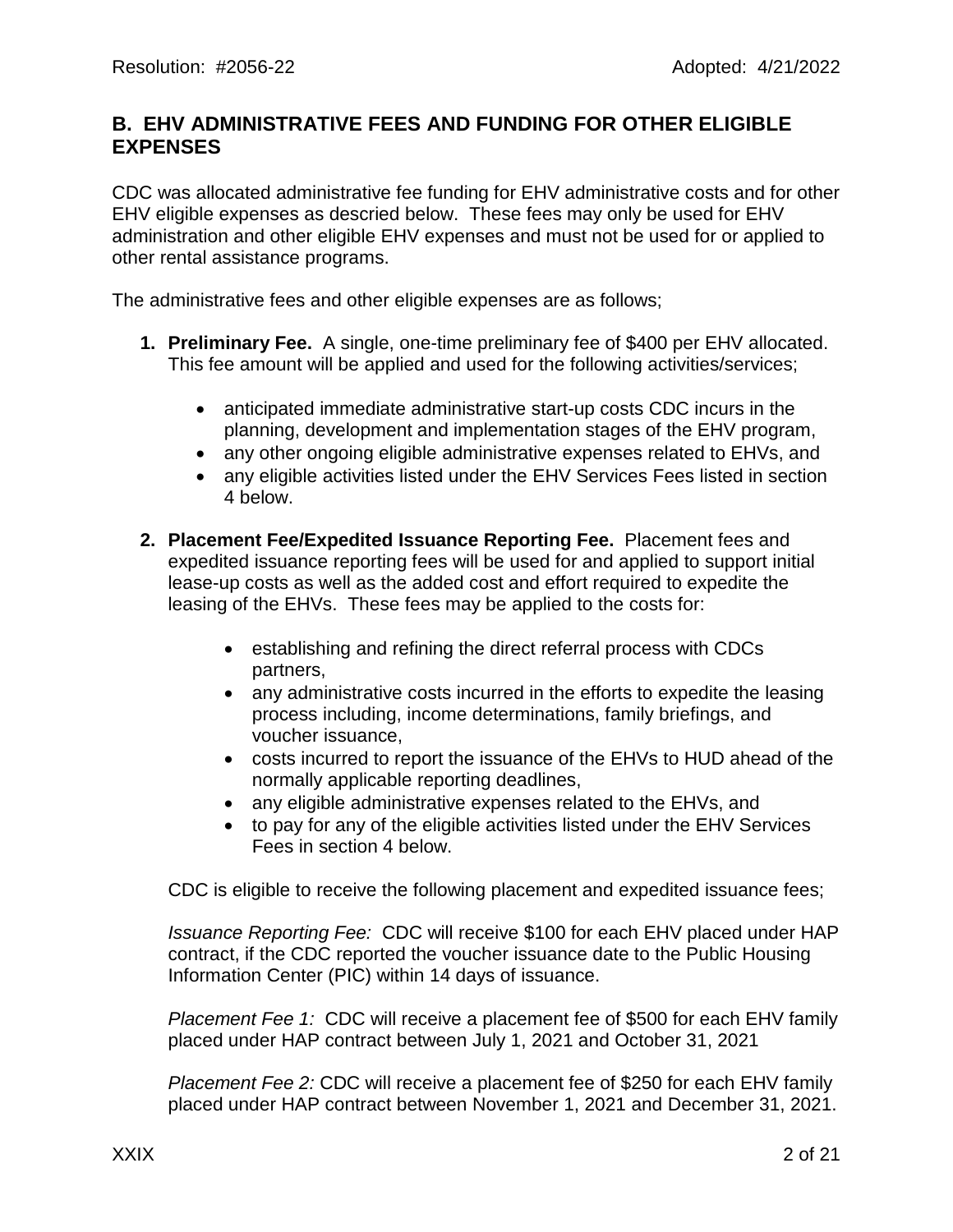### **B. EHV ADMINISTRATIVE FEES AND FUNDING FOR OTHER ELIGIBLE EXPENSES**

CDC was allocated administrative fee funding for EHV administrative costs and for other EHV eligible expenses as descried below. These fees may only be used for EHV administration and other eligible EHV expenses and must not be used for or applied to other rental assistance programs.

The administrative fees and other eligible expenses are as follows;

- **1. Preliminary Fee.** A single, one-time preliminary fee of \$400 per EHV allocated. This fee amount will be applied and used for the following activities/services;
	- anticipated immediate administrative start-up costs CDC incurs in the planning, development and implementation stages of the EHV program,
	- any other ongoing eligible administrative expenses related to EHVs, and
	- any eligible activities listed under the EHV Services Fees listed in section 4 below.
- **2. Placement Fee/Expedited Issuance Reporting Fee.** Placement fees and expedited issuance reporting fees will be used for and applied to support initial lease-up costs as well as the added cost and effort required to expedite the leasing of the EHVs. These fees may be applied to the costs for:
	- establishing and refining the direct referral process with CDCs partners,
	- any administrative costs incurred in the efforts to expedite the leasing process including, income determinations, family briefings, and voucher issuance,
	- costs incurred to report the issuance of the EHVs to HUD ahead of the normally applicable reporting deadlines,
	- any eligible administrative expenses related to the EHVs, and
	- to pay for any of the eligible activities listed under the EHV Services Fees in section 4 below.

CDC is eligible to receive the following placement and expedited issuance fees;

*Issuance Reporting Fee:* CDC will receive \$100 for each EHV placed under HAP contract, if the CDC reported the voucher issuance date to the Public Housing Information Center (PIC) within 14 days of issuance.

*Placement Fee 1:* CDC will receive a placement fee of \$500 for each EHV family placed under HAP contract between July 1, 2021 and October 31, 2021

*Placement Fee 2:* CDC will receive a placement fee of \$250 for each EHV family placed under HAP contract between November 1, 2021 and December 31, 2021.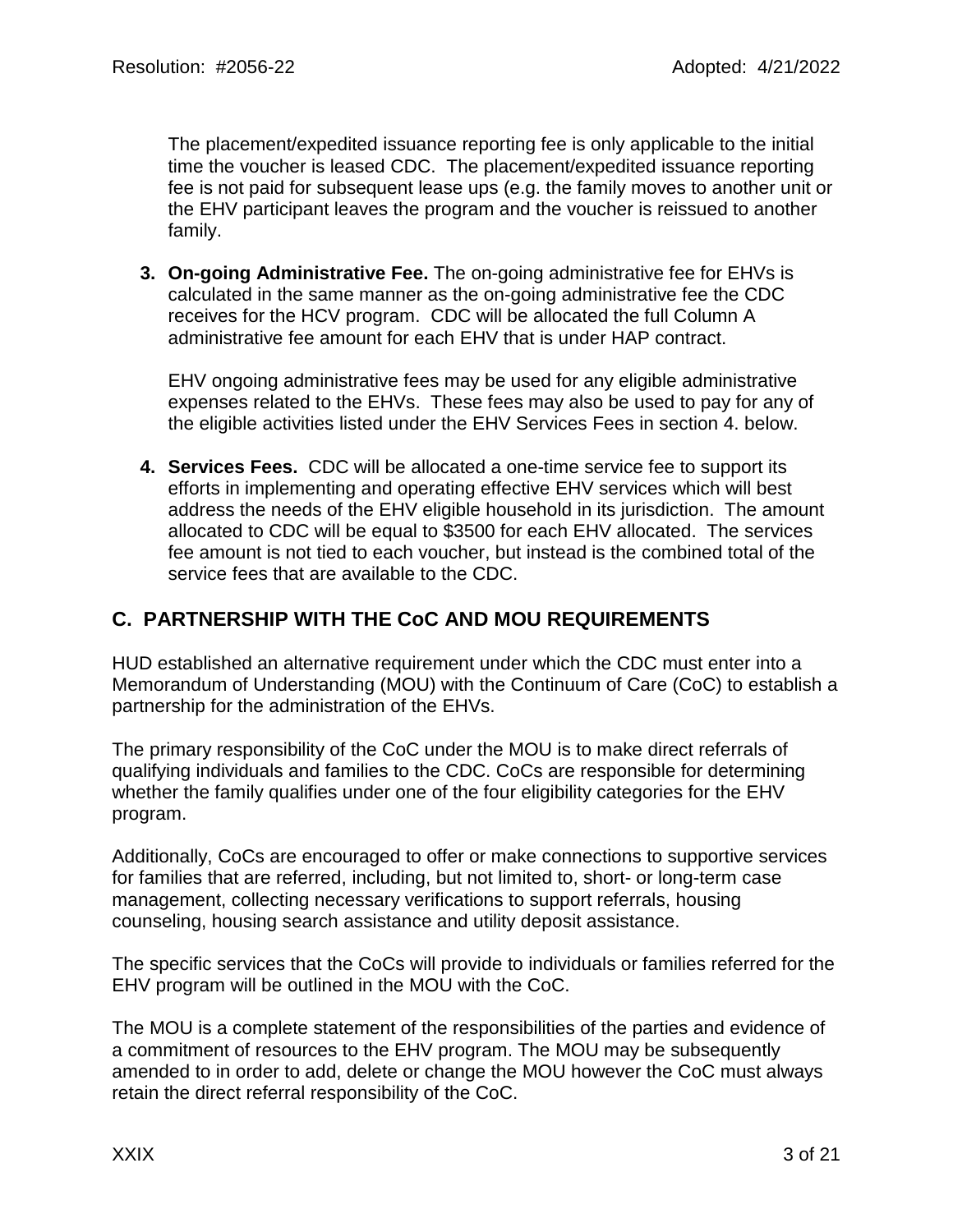The placement/expedited issuance reporting fee is only applicable to the initial time the voucher is leased CDC. The placement/expedited issuance reporting fee is not paid for subsequent lease ups (e.g. the family moves to another unit or the EHV participant leaves the program and the voucher is reissued to another family.

**3. On-going Administrative Fee.** The on-going administrative fee for EHVs is calculated in the same manner as the on-going administrative fee the CDC receives for the HCV program. CDC will be allocated the full Column A administrative fee amount for each EHV that is under HAP contract.

EHV ongoing administrative fees may be used for any eligible administrative expenses related to the EHVs. These fees may also be used to pay for any of the eligible activities listed under the EHV Services Fees in section 4. below.

**4. Services Fees.** CDC will be allocated a one-time service fee to support its efforts in implementing and operating effective EHV services which will best address the needs of the EHV eligible household in its jurisdiction. The amount allocated to CDC will be equal to \$3500 for each EHV allocated. The services fee amount is not tied to each voucher, but instead is the combined total of the service fees that are available to the CDC.

## **C. PARTNERSHIP WITH THE CoC AND MOU REQUIREMENTS**

HUD established an alternative requirement under which the CDC must enter into a Memorandum of Understanding (MOU) with the Continuum of Care (CoC) to establish a partnership for the administration of the EHVs.

The primary responsibility of the CoC under the MOU is to make direct referrals of qualifying individuals and families to the CDC. CoCs are responsible for determining whether the family qualifies under one of the four eligibility categories for the EHV program.

Additionally, CoCs are encouraged to offer or make connections to supportive services for families that are referred, including, but not limited to, short- or long-term case management, collecting necessary verifications to support referrals, housing counseling, housing search assistance and utility deposit assistance.

The specific services that the CoCs will provide to individuals or families referred for the EHV program will be outlined in the MOU with the CoC.

The MOU is a complete statement of the responsibilities of the parties and evidence of a commitment of resources to the EHV program. The MOU may be subsequently amended to in order to add, delete or change the MOU however the CoC must always retain the direct referral responsibility of the CoC.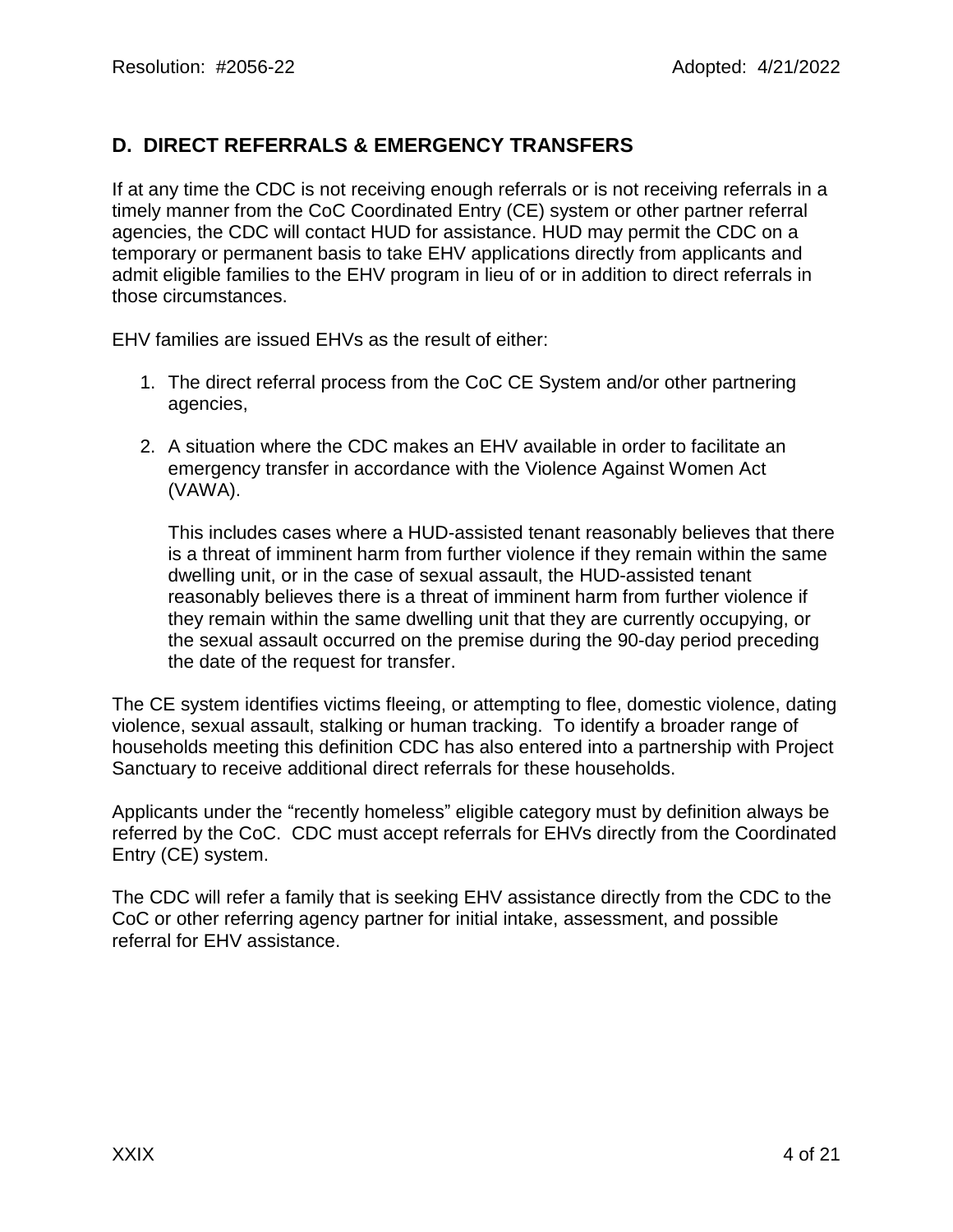# **D. DIRECT REFERRALS & EMERGENCY TRANSFERS**

If at any time the CDC is not receiving enough referrals or is not receiving referrals in a timely manner from the CoC Coordinated Entry (CE) system or other partner referral agencies, the CDC will contact HUD for assistance. HUD may permit the CDC on a temporary or permanent basis to take EHV applications directly from applicants and admit eligible families to the EHV program in lieu of or in addition to direct referrals in those circumstances.

EHV families are issued EHVs as the result of either:

- 1. The direct referral process from the CoC CE System and/or other partnering agencies,
- 2. A situation where the CDC makes an EHV available in order to facilitate an emergency transfer in accordance with the Violence Against Women Act (VAWA).

This includes cases where a HUD-assisted tenant reasonably believes that there is a threat of imminent harm from further violence if they remain within the same dwelling unit, or in the case of sexual assault, the HUD-assisted tenant reasonably believes there is a threat of imminent harm from further violence if they remain within the same dwelling unit that they are currently occupying, or the sexual assault occurred on the premise during the 90-day period preceding the date of the request for transfer.

The CE system identifies victims fleeing, or attempting to flee, domestic violence, dating violence, sexual assault, stalking or human tracking. To identify a broader range of households meeting this definition CDC has also entered into a partnership with Project Sanctuary to receive additional direct referrals for these households.

Applicants under the "recently homeless" eligible category must by definition always be referred by the CoC. CDC must accept referrals for EHVs directly from the Coordinated Entry (CE) system.

The CDC will refer a family that is seeking EHV assistance directly from the CDC to the CoC or other referring agency partner for initial intake, assessment, and possible referral for EHV assistance.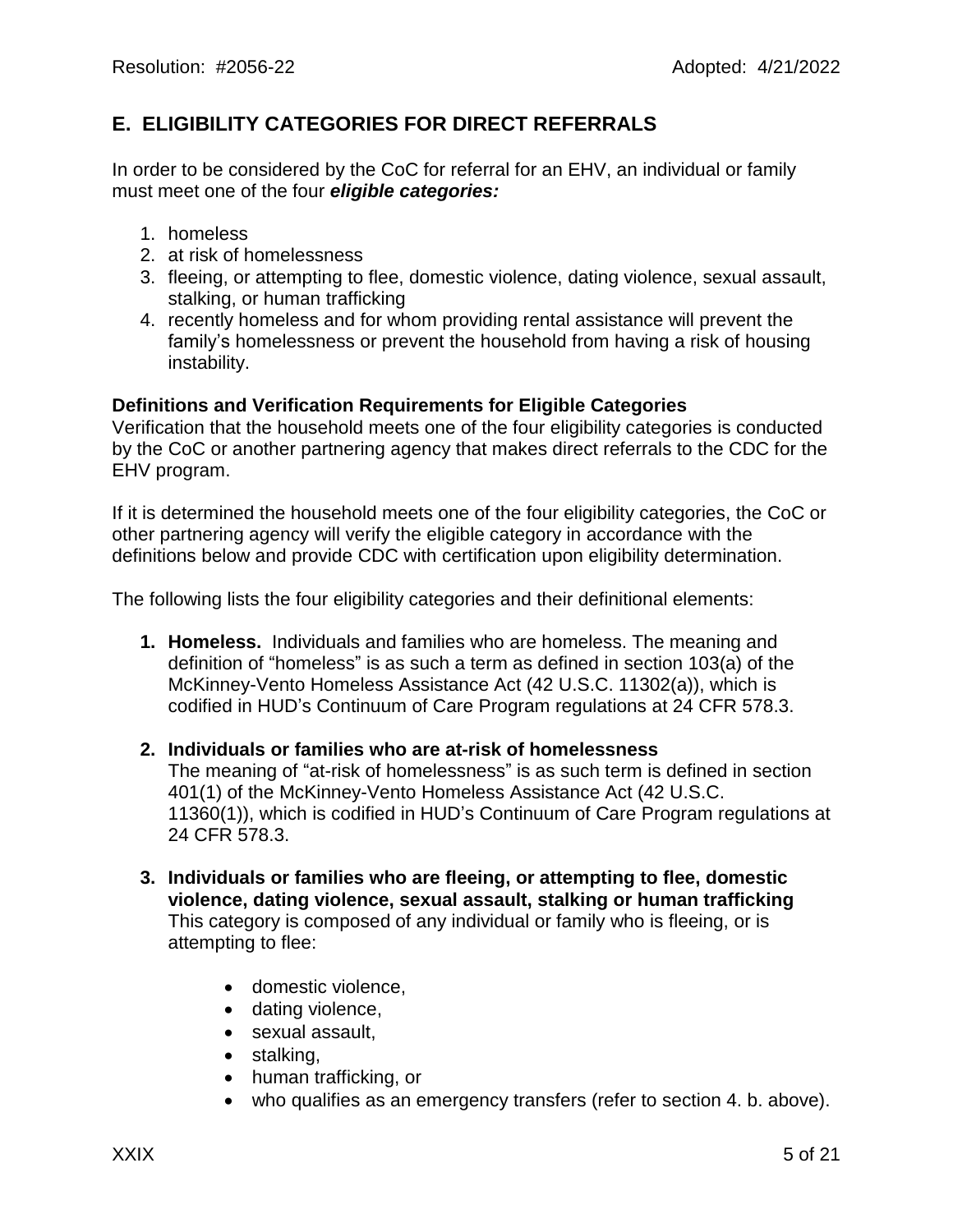### **E. ELIGIBILITY CATEGORIES FOR DIRECT REFERRALS**

In order to be considered by the CoC for referral for an EHV, an individual or family must meet one of the four *eligible categories:*

- 1. homeless
- 2. at risk of homelessness
- 3. fleeing, or attempting to flee, domestic violence, dating violence, sexual assault, stalking, or human trafficking
- 4. recently homeless and for whom providing rental assistance will prevent the family's homelessness or prevent the household from having a risk of housing instability.

#### **Definitions and Verification Requirements for Eligible Categories**

Verification that the household meets one of the four eligibility categories is conducted by the CoC or another partnering agency that makes direct referrals to the CDC for the EHV program.

If it is determined the household meets one of the four eligibility categories, the CoC or other partnering agency will verify the eligible category in accordance with the definitions below and provide CDC with certification upon eligibility determination.

The following lists the four eligibility categories and their definitional elements:

**1. Homeless.** Individuals and families who are homeless. The meaning and definition of "homeless" is as such a term as defined in section 103(a) of the McKinney-Vento Homeless Assistance Act (42 U.S.C. 11302(a)), which is codified in HUD's Continuum of Care Program regulations at 24 CFR 578.3.

#### **2. Individuals or families who are at-risk of homelessness** The meaning of "at-risk of homelessness" is as such term is defined in section 401(1) of the McKinney-Vento Homeless Assistance Act (42 U.S.C. 11360(1)), which is codified in HUD's Continuum of Care Program regulations at 24 CFR 578.3.

- **3. Individuals or families who are fleeing, or attempting to flee, domestic violence, dating violence, sexual assault, stalking or human trafficking** This category is composed of any individual or family who is fleeing, or is attempting to flee:
	- domestic violence,
	- dating violence,
	- sexual assault,
	- stalking,
	- human trafficking, or
	- who qualifies as an emergency transfers (refer to section 4. b. above).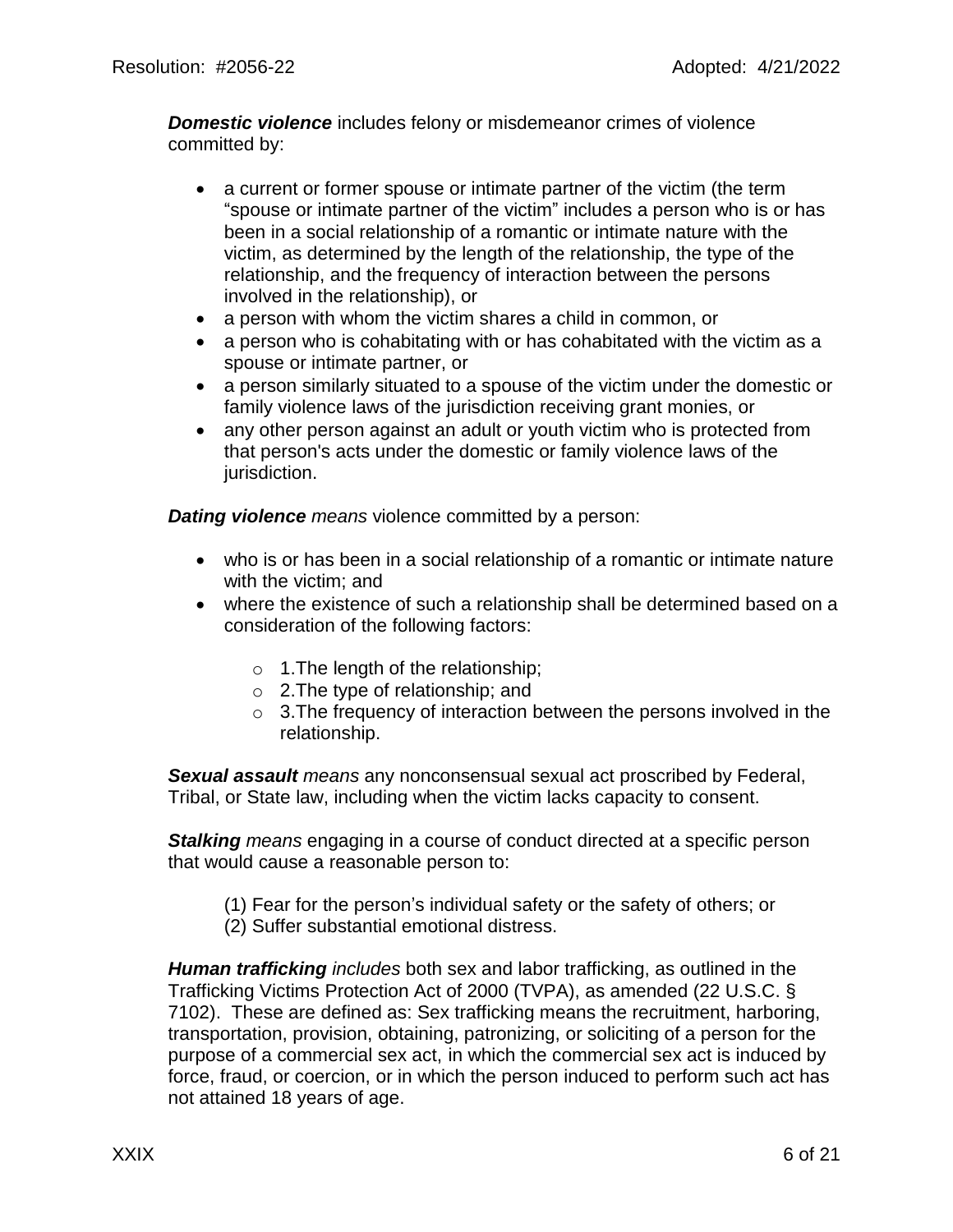*Domestic violence* includes felony or misdemeanor crimes of violence committed by:

- a current or former spouse or intimate partner of the victim (the term "spouse or intimate partner of the victim" includes a person who is or has been in a social relationship of a romantic or intimate nature with the victim, as determined by the length of the relationship, the type of the relationship, and the frequency of interaction between the persons involved in the relationship), or
- a person with whom the victim shares a child in common, or
- a person who is cohabitating with or has cohabitated with the victim as a spouse or intimate partner, or
- a person similarly situated to a spouse of the victim under the domestic or family violence laws of the jurisdiction receiving grant monies, or
- any other person against an adult or youth victim who is protected from that person's acts under the domestic or family violence laws of the jurisdiction.

*Dating violence means* violence committed by a person:

- who is or has been in a social relationship of a romantic or intimate nature with the victim; and
- where the existence of such a relationship shall be determined based on a consideration of the following factors:
	- $\circ$  1. The length of the relationship;
	- o 2.The type of relationship; and
	- o 3.The frequency of interaction between the persons involved in the relationship.

*Sexual assault means* any nonconsensual sexual act proscribed by Federal, Tribal, or State law, including when the victim lacks capacity to consent.

*Stalking means* engaging in a course of conduct directed at a specific person that would cause a reasonable person to:

- (1) Fear for the person's individual safety or the safety of others; or
- (2) Suffer substantial emotional distress.

*Human trafficking includes* both sex and labor trafficking, as outlined in the Trafficking Victims Protection Act of 2000 (TVPA), as amended (22 U.S.C. § 7102). These are defined as: Sex trafficking means the recruitment, harboring, transportation, provision, obtaining, patronizing, or soliciting of a person for the purpose of a commercial sex act, in which the commercial sex act is induced by force, fraud, or coercion, or in which the person induced to perform such act has not attained 18 years of age.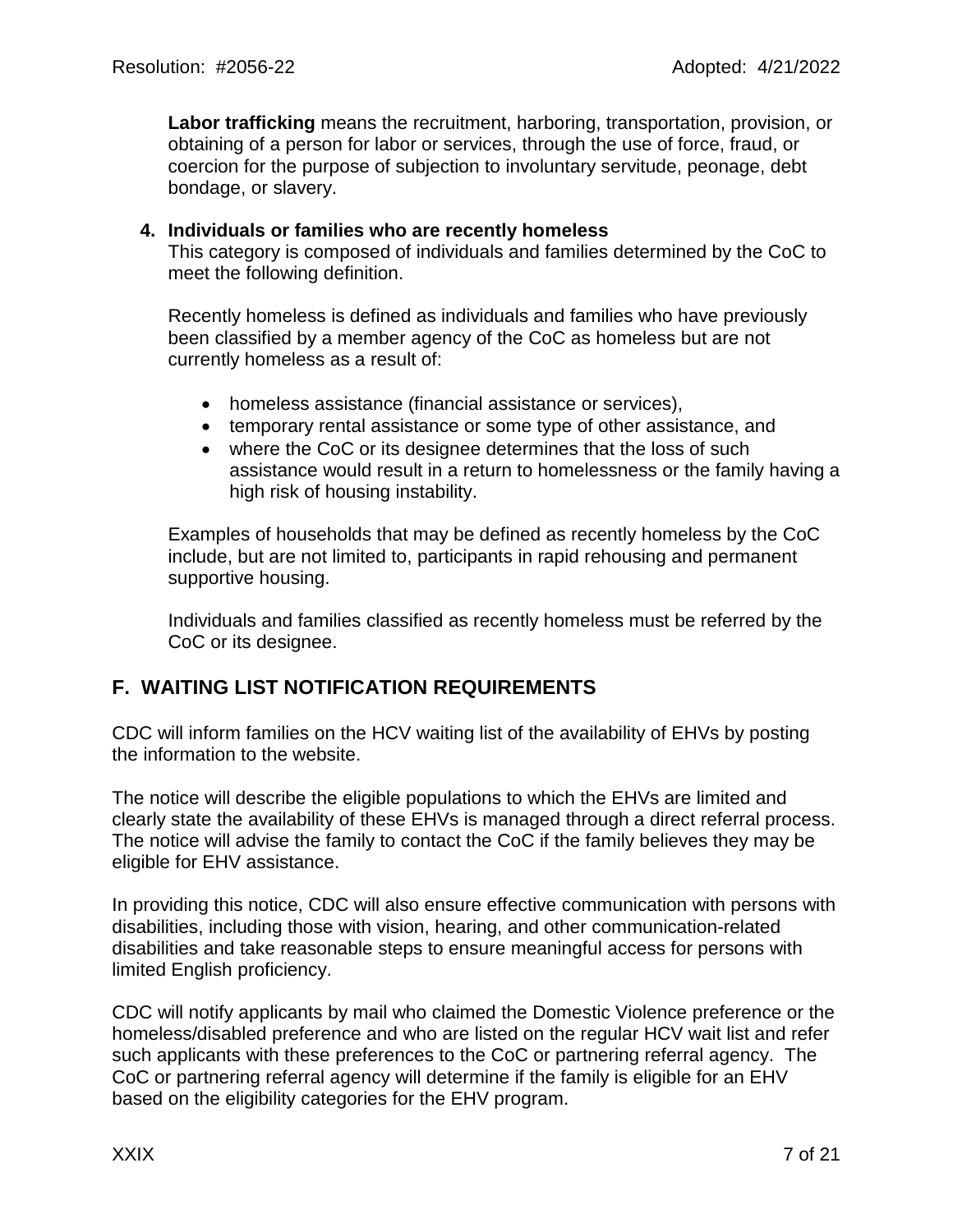**Labor trafficking** means the recruitment, harboring, transportation, provision, or obtaining of a person for labor or services, through the use of force, fraud, or coercion for the purpose of subjection to involuntary servitude, peonage, debt bondage, or slavery.

#### **4. Individuals or families who are recently homeless**

This category is composed of individuals and families determined by the CoC to meet the following definition.

Recently homeless is defined as individuals and families who have previously been classified by a member agency of the CoC as homeless but are not currently homeless as a result of:

- homeless assistance (financial assistance or services),
- temporary rental assistance or some type of other assistance, and
- where the CoC or its designee determines that the loss of such assistance would result in a return to homelessness or the family having a high risk of housing instability.

Examples of households that may be defined as recently homeless by the CoC include, but are not limited to, participants in rapid rehousing and permanent supportive housing.

Individuals and families classified as recently homeless must be referred by the CoC or its designee.

### **F. WAITING LIST NOTIFICATION REQUIREMENTS**

CDC will inform families on the HCV waiting list of the availability of EHVs by posting the information to the website.

The notice will describe the eligible populations to which the EHVs are limited and clearly state the availability of these EHVs is managed through a direct referral process. The notice will advise the family to contact the CoC if the family believes they may be eligible for EHV assistance.

In providing this notice, CDC will also ensure effective communication with persons with disabilities, including those with vision, hearing, and other communication-related disabilities and take reasonable steps to ensure meaningful access for persons with limited English proficiency.

CDC will notify applicants by mail who claimed the Domestic Violence preference or the homeless/disabled preference and who are listed on the regular HCV wait list and refer such applicants with these preferences to the CoC or partnering referral agency. The CoC or partnering referral agency will determine if the family is eligible for an EHV based on the eligibility categories for the EHV program.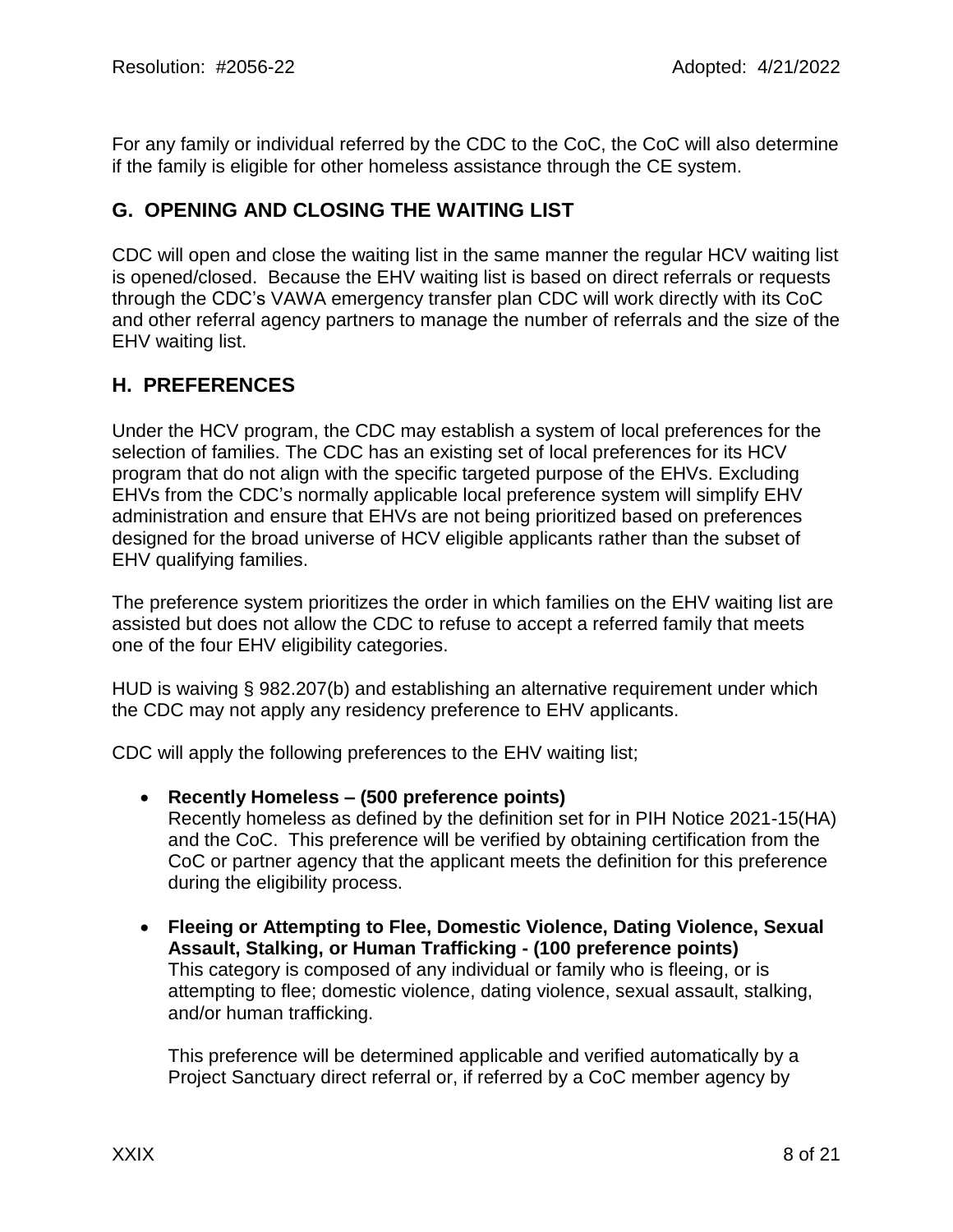For any family or individual referred by the CDC to the CoC, the CoC will also determine if the family is eligible for other homeless assistance through the CE system.

### **G. OPENING AND CLOSING THE WAITING LIST**

CDC will open and close the waiting list in the same manner the regular HCV waiting list is opened/closed. Because the EHV waiting list is based on direct referrals or requests through the CDC's VAWA emergency transfer plan CDC will work directly with its CoC and other referral agency partners to manage the number of referrals and the size of the EHV waiting list.

### **H. PREFERENCES**

Under the HCV program, the CDC may establish a system of local preferences for the selection of families. The CDC has an existing set of local preferences for its HCV program that do not align with the specific targeted purpose of the EHVs. Excluding EHVs from the CDC's normally applicable local preference system will simplify EHV administration and ensure that EHVs are not being prioritized based on preferences designed for the broad universe of HCV eligible applicants rather than the subset of EHV qualifying families.

The preference system prioritizes the order in which families on the EHV waiting list are assisted but does not allow the CDC to refuse to accept a referred family that meets one of the four EHV eligibility categories.

HUD is waiving § 982.207(b) and establishing an alternative requirement under which the CDC may not apply any residency preference to EHV applicants.

CDC will apply the following preferences to the EHV waiting list;

- **Recently Homeless – (500 preference points)** Recently homeless as defined by the definition set for in PIH Notice 2021-15(HA) and the CoC. This preference will be verified by obtaining certification from the CoC or partner agency that the applicant meets the definition for this preference during the eligibility process.
- **Fleeing or Attempting to Flee, Domestic Violence, Dating Violence, Sexual Assault, Stalking, or Human Trafficking - (100 preference points)** This category is composed of any individual or family who is fleeing, or is attempting to flee; domestic violence, dating violence, sexual assault, stalking, and/or human trafficking.

This preference will be determined applicable and verified automatically by a Project Sanctuary direct referral or, if referred by a CoC member agency by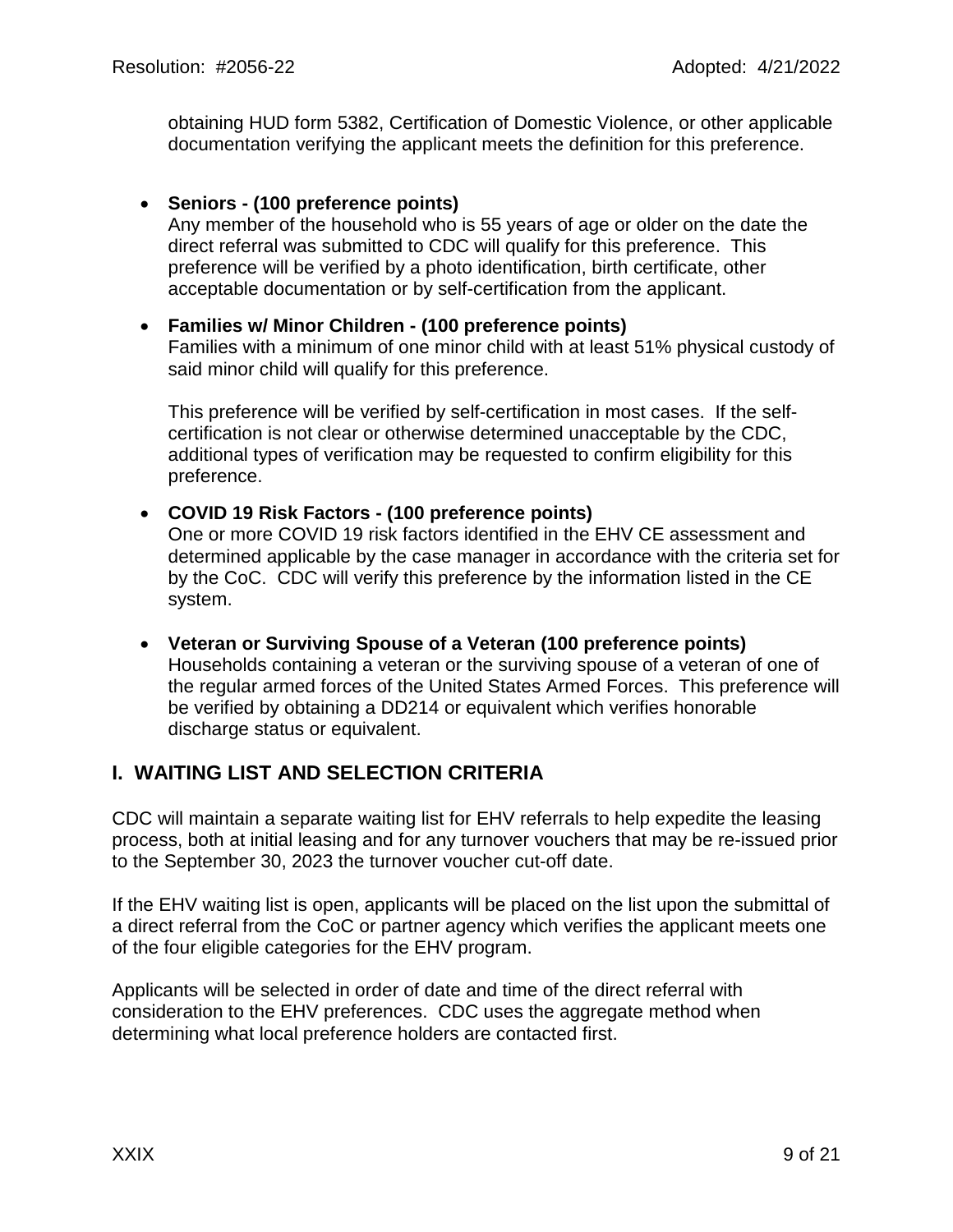obtaining HUD form 5382, Certification of Domestic Violence, or other applicable documentation verifying the applicant meets the definition for this preference.

#### • **Seniors - (100 preference points)**

Any member of the household who is 55 years of age or older on the date the direct referral was submitted to CDC will qualify for this preference. This preference will be verified by a photo identification, birth certificate, other acceptable documentation or by self-certification from the applicant.

### • **Families w/ Minor Children - (100 preference points)**

Families with a minimum of one minor child with at least 51% physical custody of said minor child will qualify for this preference.

This preference will be verified by self-certification in most cases. If the selfcertification is not clear or otherwise determined unacceptable by the CDC, additional types of verification may be requested to confirm eligibility for this preference.

#### • **COVID 19 Risk Factors - (100 preference points)**

One or more COVID 19 risk factors identified in the EHV CE assessment and determined applicable by the case manager in accordance with the criteria set for by the CoC. CDC will verify this preference by the information listed in the CE system.

#### • **Veteran or Surviving Spouse of a Veteran (100 preference points)** Households containing a veteran or the surviving spouse of a veteran of one of the regular armed forces of the United States Armed Forces. This preference will be verified by obtaining a DD214 or equivalent which verifies honorable discharge status or equivalent.

### **I. WAITING LIST AND SELECTION CRITERIA**

CDC will maintain a separate waiting list for EHV referrals to help expedite the leasing process, both at initial leasing and for any turnover vouchers that may be re-issued prior to the September 30, 2023 the turnover voucher cut-off date.

If the EHV waiting list is open, applicants will be placed on the list upon the submittal of a direct referral from the CoC or partner agency which verifies the applicant meets one of the four eligible categories for the EHV program.

Applicants will be selected in order of date and time of the direct referral with consideration to the EHV preferences. CDC uses the aggregate method when determining what local preference holders are contacted first.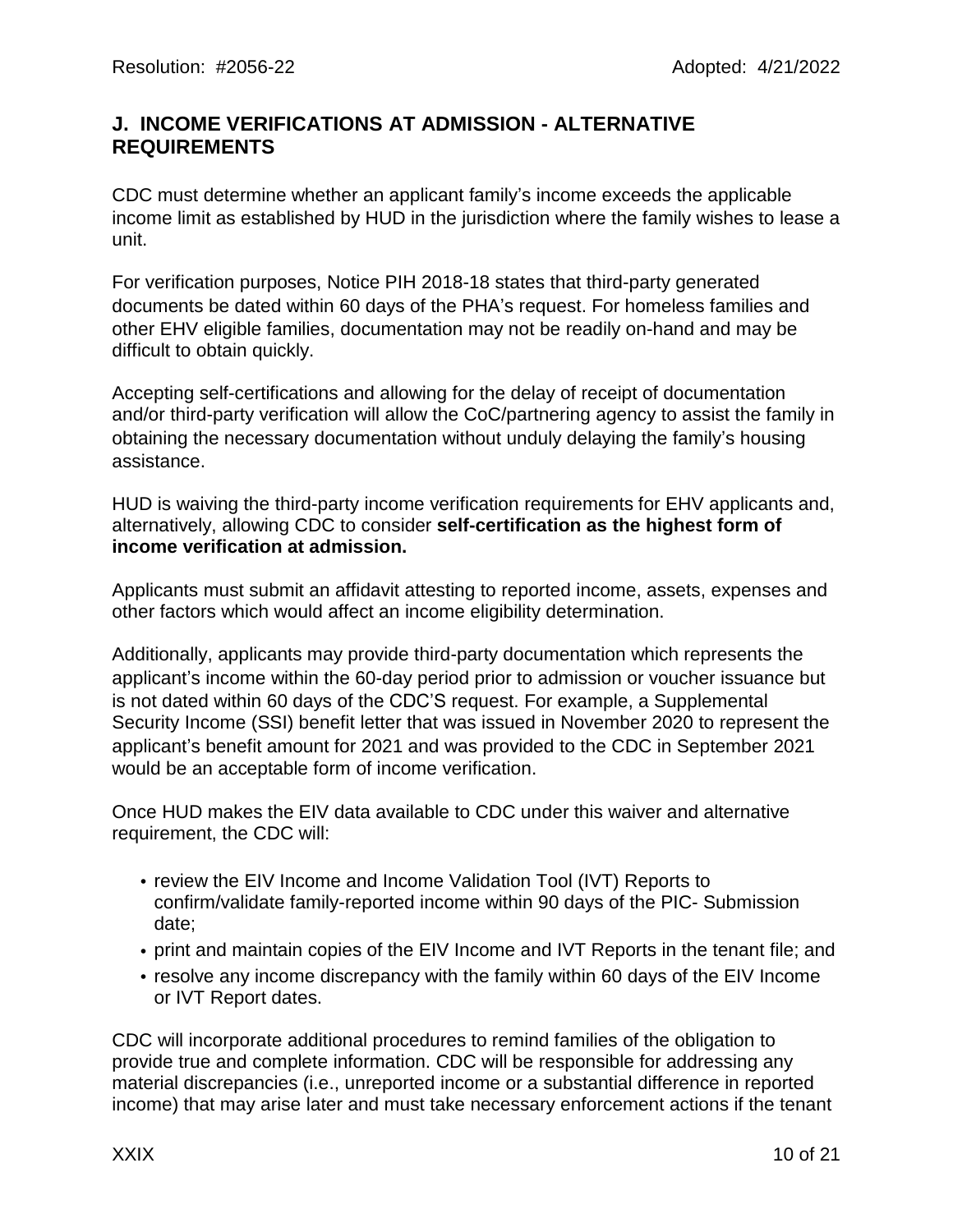### **J. INCOME VERIFICATIONS AT ADMISSION - ALTERNATIVE REQUIREMENTS**

CDC must determine whether an applicant family's income exceeds the applicable income limit as established by HUD in the jurisdiction where the family wishes to lease a unit.

For verification purposes, Notice PIH 2018-18 states that third-party generated documents be dated within 60 days of the PHA's request. For homeless families and other EHV eligible families, documentation may not be readily on-hand and may be difficult to obtain quickly.

Accepting self-certifications and allowing for the delay of receipt of documentation and/or third-party verification will allow the CoC/partnering agency to assist the family in obtaining the necessary documentation without unduly delaying the family's housing assistance.

HUD is waiving the third-party income verification requirements for EHV applicants and, alternatively, allowing CDC to consider **self-certification as the highest form of income verification at admission.**

Applicants must submit an affidavit attesting to reported income, assets, expenses and other factors which would affect an income eligibility determination.

Additionally, applicants may provide third-party documentation which represents the applicant's income within the 60-day period prior to admission or voucher issuance but is not dated within 60 days of the CDC'S request. For example, a Supplemental Security Income (SSI) benefit letter that was issued in November 2020 to represent the applicant's benefit amount for 2021 and was provided to the CDC in September 2021 would be an acceptable form of income verification.

Once HUD makes the EIV data available to CDC under this waiver and alternative requirement, the CDC will:

- review the EIV Income and Income Validation Tool (IVT) Reports to confirm/validate family-reported income within 90 days of the PIC- Submission date;
- print and maintain copies of the EIV Income and IVT Reports in the tenant file; and
- resolve any income discrepancy with the family within 60 days of the EIV Income or IVT Report dates.

CDC will incorporate additional procedures to remind families of the obligation to provide true and complete information. CDC will be responsible for addressing any material discrepancies (i.e., unreported income or a substantial difference in reported income) that may arise later and must take necessary enforcement actions if the tenant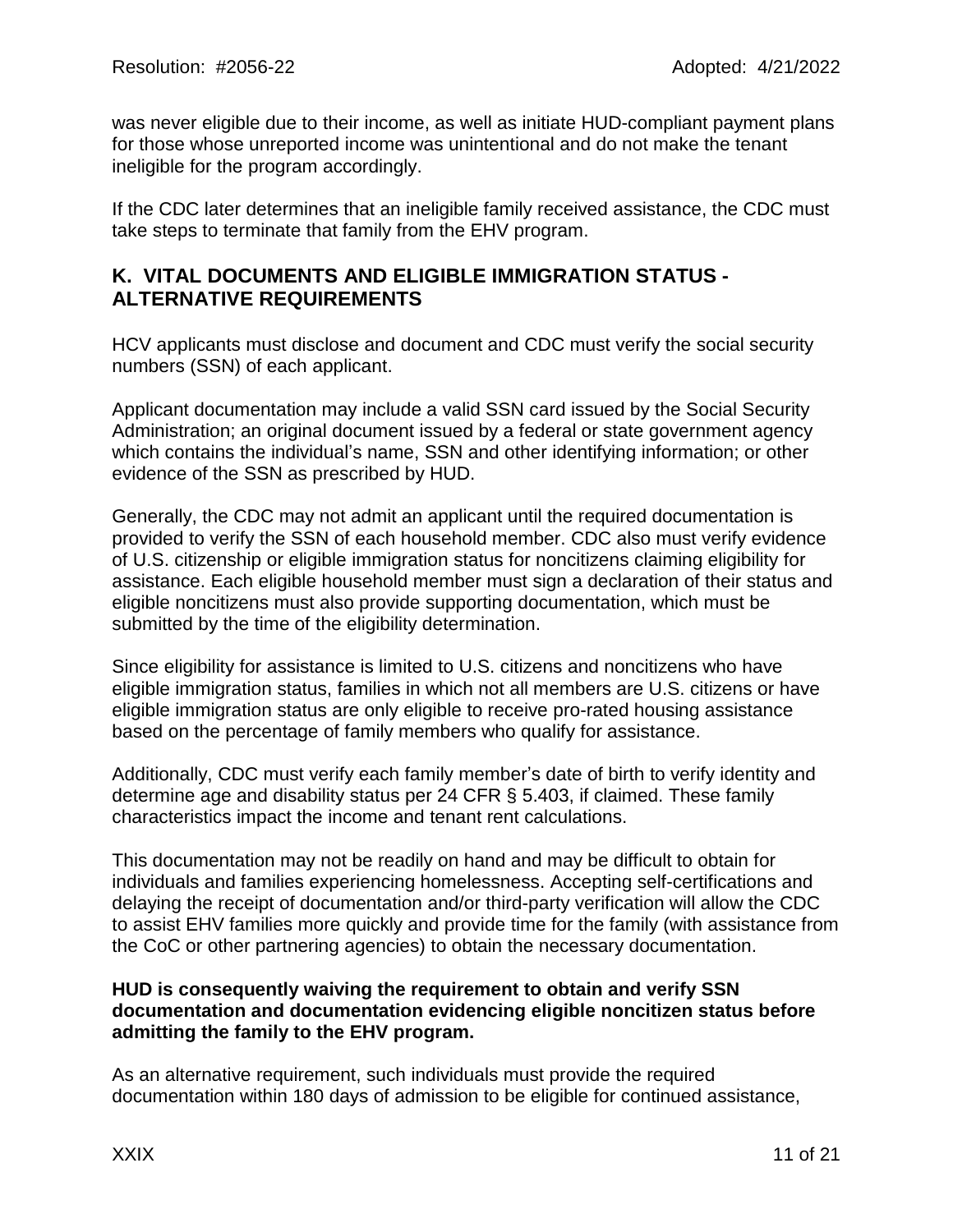was never eligible due to their income, as well as initiate HUD-compliant payment plans for those whose unreported income was unintentional and do not make the tenant ineligible for the program accordingly.

If the CDC later determines that an ineligible family received assistance, the CDC must take steps to terminate that family from the EHV program.

### **K. VITAL DOCUMENTS AND ELIGIBLE IMMIGRATION STATUS - ALTERNATIVE REQUIREMENTS**

HCV applicants must disclose and document and CDC must verify the social security numbers (SSN) of each applicant.

Applicant documentation may include a valid SSN card issued by the Social Security Administration; an original document issued by a federal or state government agency which contains the individual's name, SSN and other identifying information; or other evidence of the SSN as prescribed by HUD.

Generally, the CDC may not admit an applicant until the required documentation is provided to verify the SSN of each household member. CDC also must verify evidence of U.S. citizenship or eligible immigration status for noncitizens claiming eligibility for assistance. Each eligible household member must sign a declaration of their status and eligible noncitizens must also provide supporting documentation, which must be submitted by the time of the eligibility determination.

Since eligibility for assistance is limited to U.S. citizens and noncitizens who have eligible immigration status, families in which not all members are U.S. citizens or have eligible immigration status are only eligible to receive pro-rated housing assistance based on the percentage of family members who qualify for assistance.

Additionally, CDC must verify each family member's date of birth to verify identity and determine age and disability status per 24 CFR § 5.403, if claimed. These family characteristics impact the income and tenant rent calculations.

This documentation may not be readily on hand and may be difficult to obtain for individuals and families experiencing homelessness. Accepting self-certifications and delaying the receipt of documentation and/or third-party verification will allow the CDC to assist EHV families more quickly and provide time for the family (with assistance from the CoC or other partnering agencies) to obtain the necessary documentation.

#### **HUD is consequently waiving the requirement to obtain and verify SSN documentation and documentation evidencing eligible noncitizen status before admitting the family to the EHV program.**

As an alternative requirement, such individuals must provide the required documentation within 180 days of admission to be eligible for continued assistance,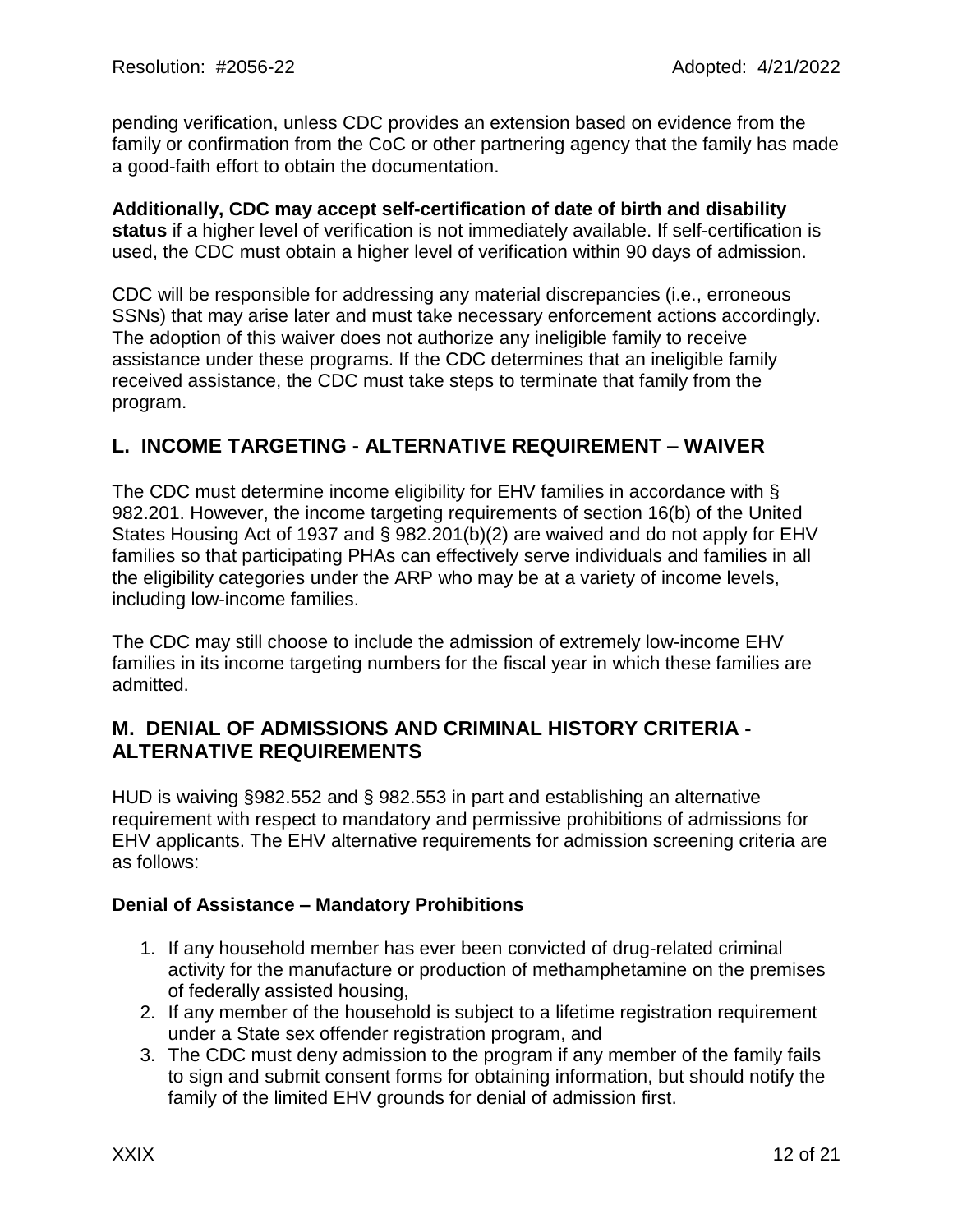pending verification, unless CDC provides an extension based on evidence from the family or confirmation from the CoC or other partnering agency that the family has made a good-faith effort to obtain the documentation.

#### **Additionally, CDC may accept self-certification of date of birth and disability status** if a higher level of verification is not immediately available. If self-certification is used, the CDC must obtain a higher level of verification within 90 days of admission.

CDC will be responsible for addressing any material discrepancies (i.e., erroneous SSNs) that may arise later and must take necessary enforcement actions accordingly. The adoption of this waiver does not authorize any ineligible family to receive assistance under these programs. If the CDC determines that an ineligible family received assistance, the CDC must take steps to terminate that family from the program.

### **L. INCOME TARGETING - ALTERNATIVE REQUIREMENT – WAIVER**

The CDC must determine income eligibility for EHV families in accordance with § 982.201. However, the income targeting requirements of section 16(b) of the United States Housing Act of 1937 and § 982.201(b)(2) are waived and do not apply for EHV families so that participating PHAs can effectively serve individuals and families in all the eligibility categories under the ARP who may be at a variety of income levels, including low-income families.

The CDC may still choose to include the admission of extremely low-income EHV families in its income targeting numbers for the fiscal year in which these families are admitted.

### **M. DENIAL OF ADMISSIONS AND CRIMINAL HISTORY CRITERIA - ALTERNATIVE REQUIREMENTS**

HUD is waiving §982.552 and § 982.553 in part and establishing an alternative requirement with respect to mandatory and permissive prohibitions of admissions for EHV applicants. The EHV alternative requirements for admission screening criteria are as follows:

#### **Denial of Assistance – Mandatory Prohibitions**

- 1. If any household member has ever been convicted of drug-related criminal activity for the manufacture or production of methamphetamine on the premises of federally assisted housing,
- 2. If any member of the household is subject to a lifetime registration requirement under a State sex offender registration program, and
- 3. The CDC must deny admission to the program if any member of the family fails to sign and submit consent forms for obtaining information, but should notify the family of the limited EHV grounds for denial of admission first.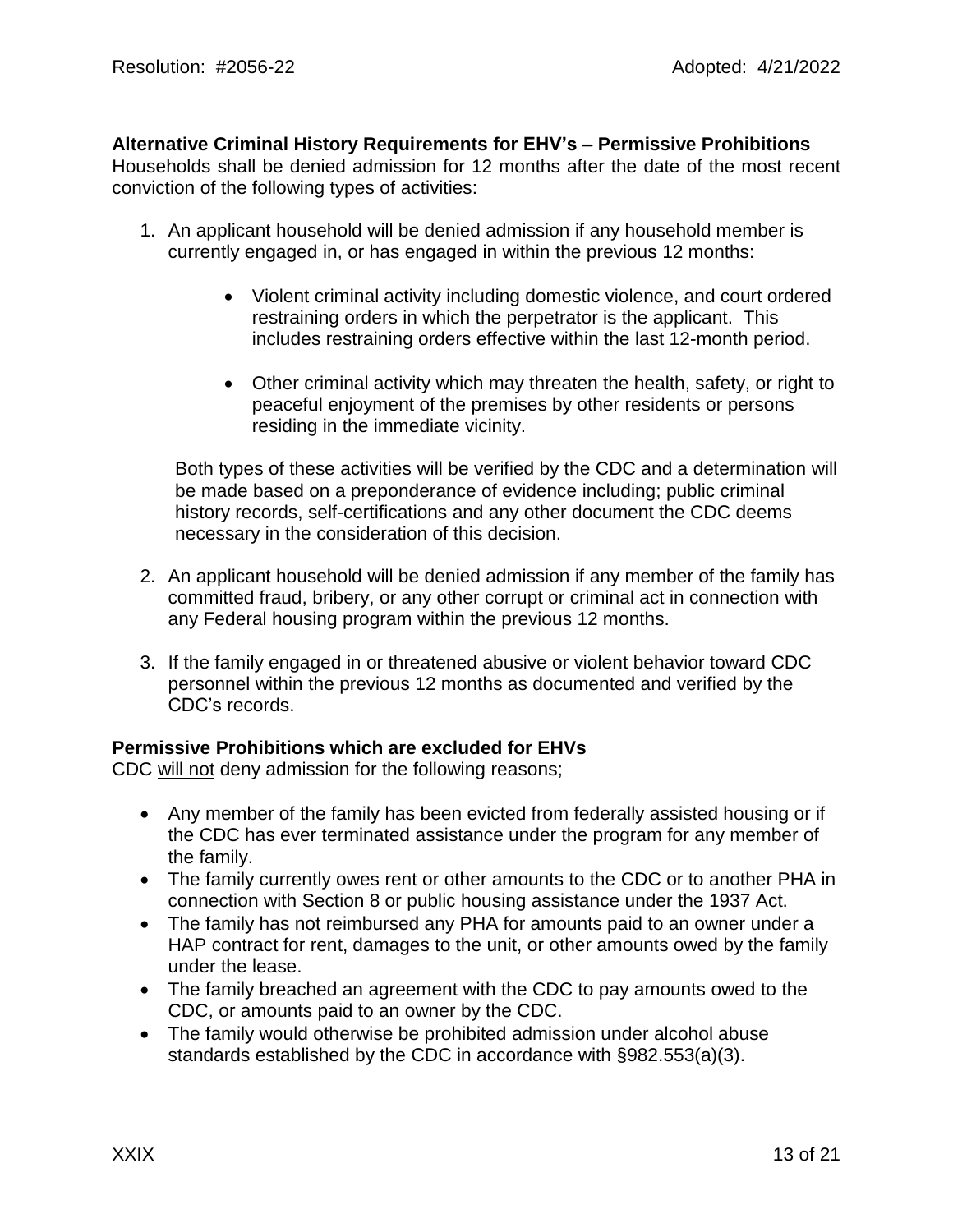#### **Alternative Criminal History Requirements for EHV's – Permissive Prohibitions**

Households shall be denied admission for 12 months after the date of the most recent conviction of the following types of activities:

- 1. An applicant household will be denied admission if any household member is currently engaged in, or has engaged in within the previous 12 months:
	- Violent criminal activity including domestic violence, and court ordered restraining orders in which the perpetrator is the applicant. This includes restraining orders effective within the last 12-month period.
	- Other criminal activity which may threaten the health, safety, or right to peaceful enjoyment of the premises by other residents or persons residing in the immediate vicinity.

Both types of these activities will be verified by the CDC and a determination will be made based on a preponderance of evidence including; public criminal history records, self-certifications and any other document the CDC deems necessary in the consideration of this decision.

- 2. An applicant household will be denied admission if any member of the family has committed fraud, bribery, or any other corrupt or criminal act in connection with any Federal housing program within the previous 12 months.
- 3. If the family engaged in or threatened abusive or violent behavior toward CDC personnel within the previous 12 months as documented and verified by the CDC's records.

#### **Permissive Prohibitions which are excluded for EHVs**

CDC will not deny admission for the following reasons;

- Any member of the family has been evicted from federally assisted housing or if the CDC has ever terminated assistance under the program for any member of the family.
- The family currently owes rent or other amounts to the CDC or to another PHA in connection with Section 8 or public housing assistance under the 1937 Act.
- The family has not reimbursed any PHA for amounts paid to an owner under a HAP contract for rent, damages to the unit, or other amounts owed by the family under the lease.
- The family breached an agreement with the CDC to pay amounts owed to the CDC, or amounts paid to an owner by the CDC.
- The family would otherwise be prohibited admission under alcohol abuse standards established by the CDC in accordance with §982.553(a)(3).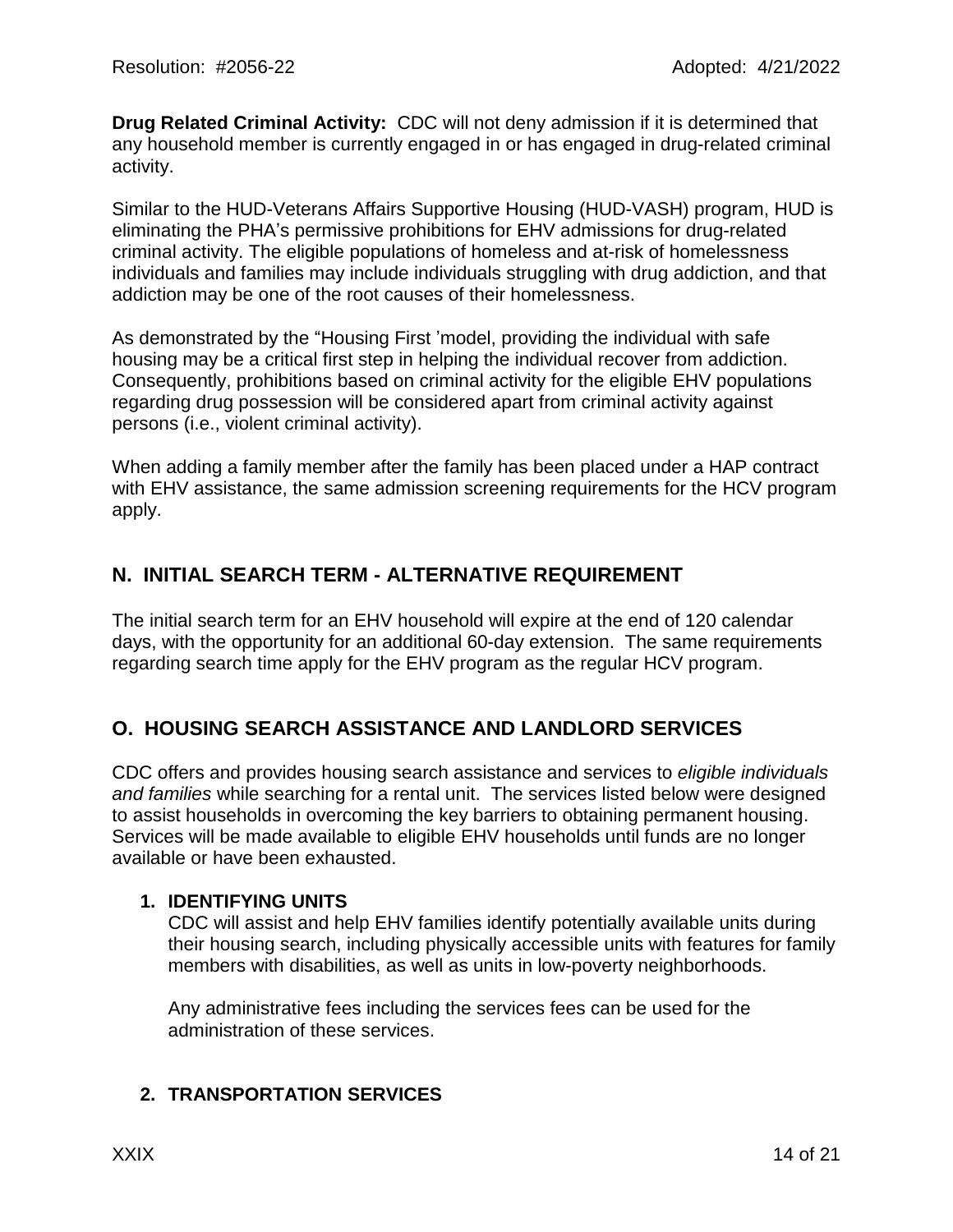**Drug Related Criminal Activity:** CDC will not deny admission if it is determined that any household member is currently engaged in or has engaged in drug-related criminal activity.

Similar to the HUD-Veterans Affairs Supportive Housing (HUD-VASH) program, HUD is eliminating the PHA's permissive prohibitions for EHV admissions for drug-related criminal activity. The eligible populations of homeless and at-risk of homelessness individuals and families may include individuals struggling with drug addiction, and that addiction may be one of the root causes of their homelessness.

As demonstrated by the "Housing First 'model, providing the individual with safe housing may be a critical first step in helping the individual recover from addiction. Consequently, prohibitions based on criminal activity for the eligible EHV populations regarding drug possession will be considered apart from criminal activity against persons (i.e., violent criminal activity).

When adding a family member after the family has been placed under a HAP contract with EHV assistance, the same admission screening requirements for the HCV program apply.

### **N. INITIAL SEARCH TERM - ALTERNATIVE REQUIREMENT**

The initial search term for an EHV household will expire at the end of 120 calendar days, with the opportunity for an additional 60-day extension. The same requirements regarding search time apply for the EHV program as the regular HCV program.

# **O. HOUSING SEARCH ASSISTANCE AND LANDLORD SERVICES**

CDC offers and provides housing search assistance and services to *eligible individuals and families* while searching for a rental unit. The services listed below were designed to assist households in overcoming the key barriers to obtaining permanent housing. Services will be made available to eligible EHV households until funds are no longer available or have been exhausted.

#### **1. IDENTIFYING UNITS**

CDC will assist and help EHV families identify potentially available units during their housing search, including physically accessible units with features for family members with disabilities, as well as units in low-poverty neighborhoods.

Any administrative fees including the services fees can be used for the administration of these services.

### **2. TRANSPORTATION SERVICES**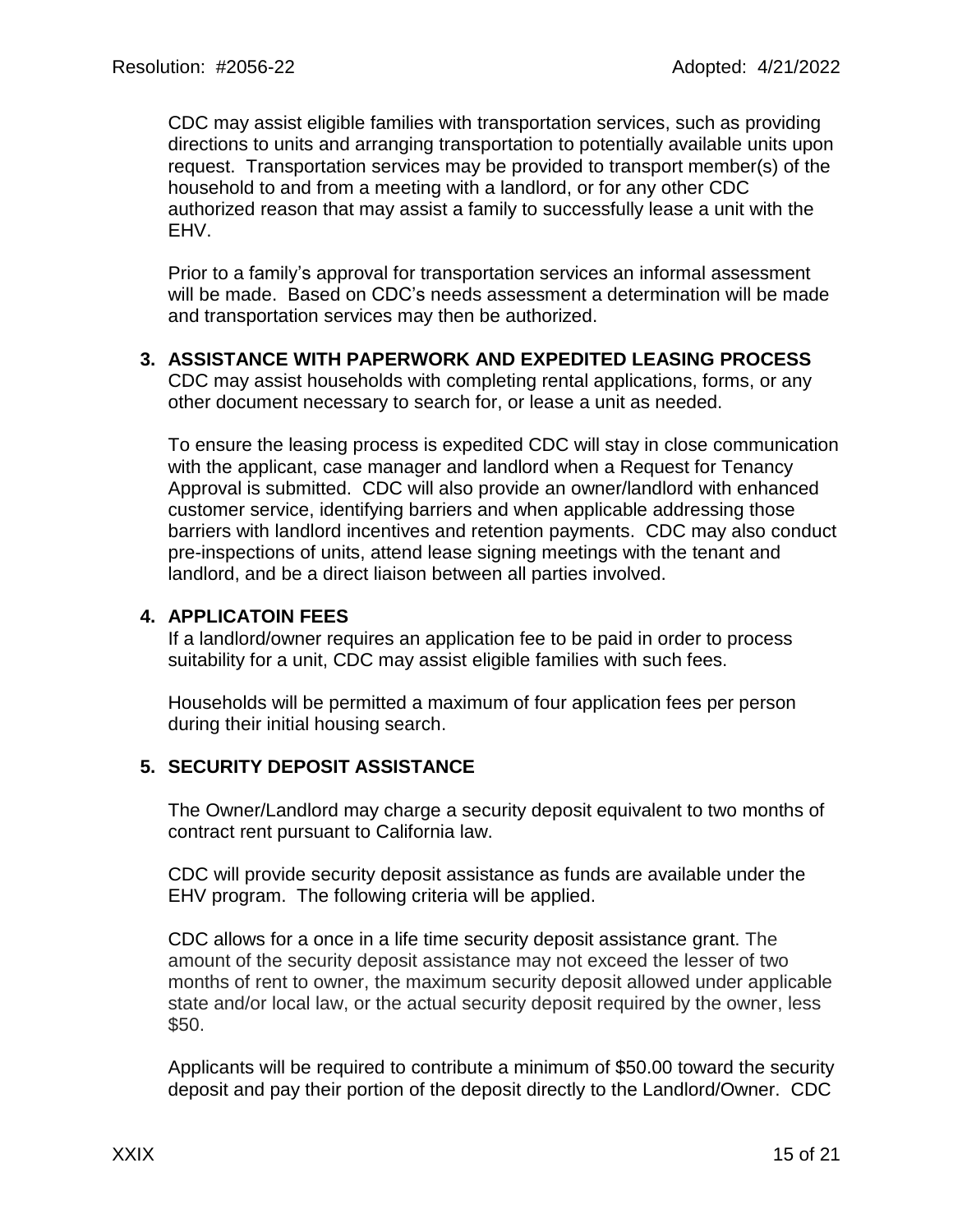CDC may assist eligible families with transportation services, such as providing directions to units and arranging transportation to potentially available units upon request. Transportation services may be provided to transport member(s) of the household to and from a meeting with a landlord, or for any other CDC authorized reason that may assist a family to successfully lease a unit with the EHV.

Prior to a family's approval for transportation services an informal assessment will be made. Based on CDC's needs assessment a determination will be made and transportation services may then be authorized.

#### **3. ASSISTANCE WITH PAPERWORK AND EXPEDITED LEASING PROCESS**

CDC may assist households with completing rental applications, forms, or any other document necessary to search for, or lease a unit as needed.

To ensure the leasing process is expedited CDC will stay in close communication with the applicant, case manager and landlord when a Request for Tenancy Approval is submitted. CDC will also provide an owner/landlord with enhanced customer service, identifying barriers and when applicable addressing those barriers with landlord incentives and retention payments. CDC may also conduct pre-inspections of units, attend lease signing meetings with the tenant and landlord, and be a direct liaison between all parties involved.

#### **4. APPLICATOIN FEES**

If a landlord/owner requires an application fee to be paid in order to process suitability for a unit, CDC may assist eligible families with such fees.

Households will be permitted a maximum of four application fees per person during their initial housing search.

#### **5. SECURITY DEPOSIT ASSISTANCE**

The Owner/Landlord may charge a security deposit equivalent to two months of contract rent pursuant to California law.

CDC will provide security deposit assistance as funds are available under the EHV program. The following criteria will be applied.

CDC allows for a once in a life time security deposit assistance grant. The amount of the security deposit assistance may not exceed the lesser of two months of rent to owner, the maximum security deposit allowed under applicable state and/or local law, or the actual security deposit required by the owner, less \$50.

Applicants will be required to contribute a minimum of \$50.00 toward the security deposit and pay their portion of the deposit directly to the Landlord/Owner. CDC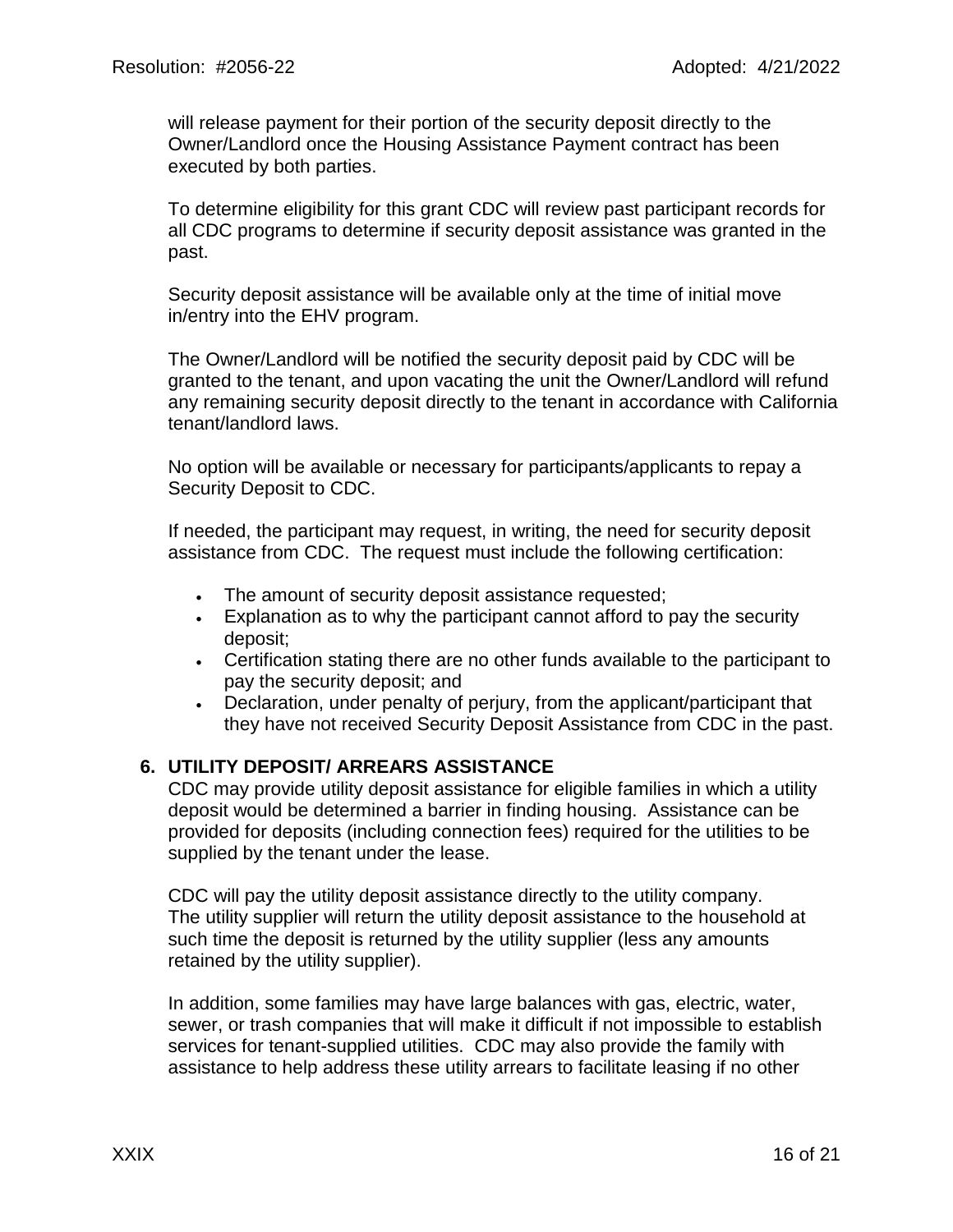will release payment for their portion of the security deposit directly to the Owner/Landlord once the Housing Assistance Payment contract has been executed by both parties.

To determine eligibility for this grant CDC will review past participant records for all CDC programs to determine if security deposit assistance was granted in the past.

Security deposit assistance will be available only at the time of initial move in/entry into the EHV program.

The Owner/Landlord will be notified the security deposit paid by CDC will be granted to the tenant, and upon vacating the unit the Owner/Landlord will refund any remaining security deposit directly to the tenant in accordance with California tenant/landlord laws.

No option will be available or necessary for participants/applicants to repay a Security Deposit to CDC.

If needed, the participant may request, in writing, the need for security deposit assistance from CDC. The request must include the following certification:

- The amount of security deposit assistance requested;
- Explanation as to why the participant cannot afford to pay the security deposit;
- Certification stating there are no other funds available to the participant to pay the security deposit; and
- Declaration, under penalty of perjury, from the applicant/participant that they have not received Security Deposit Assistance from CDC in the past.

#### **6. UTILITY DEPOSIT/ ARREARS ASSISTANCE**

CDC may provide utility deposit assistance for eligible families in which a utility deposit would be determined a barrier in finding housing. Assistance can be provided for deposits (including connection fees) required for the utilities to be supplied by the tenant under the lease.

CDC will pay the utility deposit assistance directly to the utility company. The utility supplier will return the utility deposit assistance to the household at such time the deposit is returned by the utility supplier (less any amounts retained by the utility supplier).

In addition, some families may have large balances with gas, electric, water, sewer, or trash companies that will make it difficult if not impossible to establish services for tenant-supplied utilities. CDC may also provide the family with assistance to help address these utility arrears to facilitate leasing if no other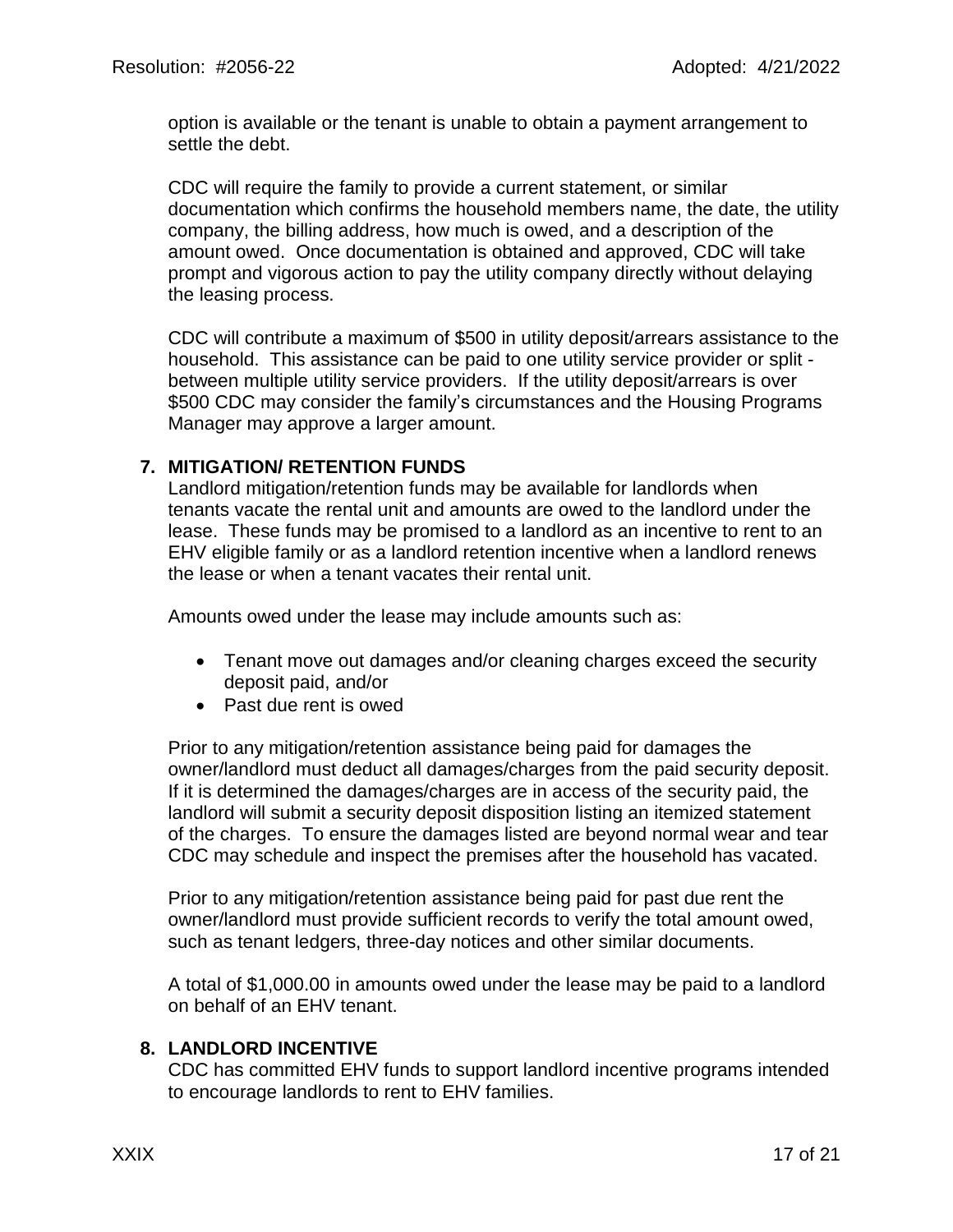option is available or the tenant is unable to obtain a payment arrangement to settle the debt.

CDC will require the family to provide a current statement, or similar documentation which confirms the household members name, the date, the utility company, the billing address, how much is owed, and a description of the amount owed. Once documentation is obtained and approved, CDC will take prompt and vigorous action to pay the utility company directly without delaying the leasing process.

CDC will contribute a maximum of \$500 in utility deposit/arrears assistance to the household. This assistance can be paid to one utility service provider or split between multiple utility service providers. If the utility deposit/arrears is over \$500 CDC may consider the family's circumstances and the Housing Programs Manager may approve a larger amount.

#### **7. MITIGATION/ RETENTION FUNDS**

Landlord mitigation/retention funds may be available for landlords when tenants vacate the rental unit and amounts are owed to the landlord under the lease. These funds may be promised to a landlord as an incentive to rent to an EHV eligible family or as a landlord retention incentive when a landlord renews the lease or when a tenant vacates their rental unit.

Amounts owed under the lease may include amounts such as:

- Tenant move out damages and/or cleaning charges exceed the security deposit paid, and/or
- Past due rent is owed

Prior to any mitigation/retention assistance being paid for damages the owner/landlord must deduct all damages/charges from the paid security deposit. If it is determined the damages/charges are in access of the security paid, the landlord will submit a security deposit disposition listing an itemized statement of the charges. To ensure the damages listed are beyond normal wear and tear CDC may schedule and inspect the premises after the household has vacated.

Prior to any mitigation/retention assistance being paid for past due rent the owner/landlord must provide sufficient records to verify the total amount owed, such as tenant ledgers, three-day notices and other similar documents.

A total of \$1,000.00 in amounts owed under the lease may be paid to a landlord on behalf of an EHV tenant.

### **8. LANDLORD INCENTIVE**

CDC has committed EHV funds to support landlord incentive programs intended to encourage landlords to rent to EHV families.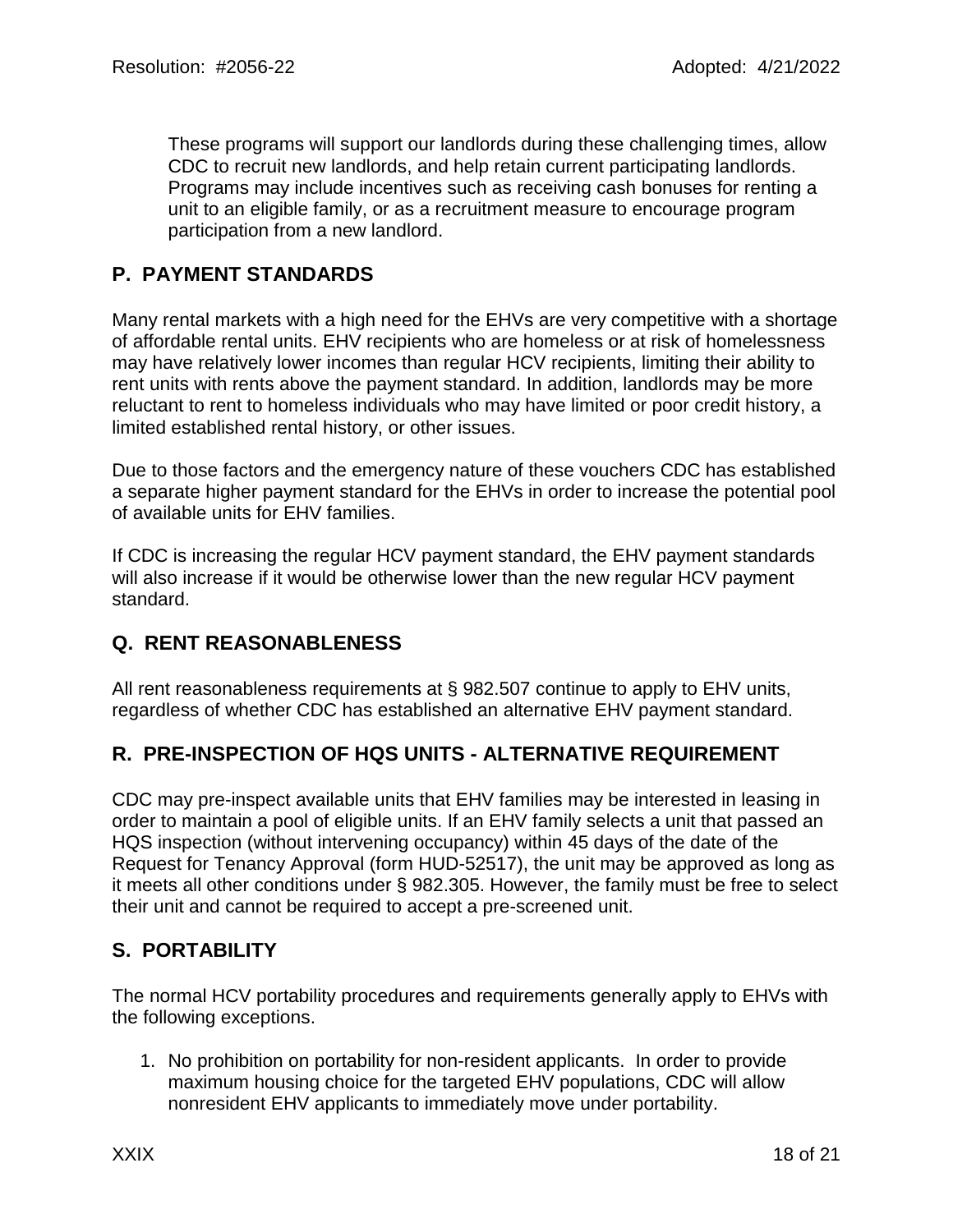These programs will support our landlords during these challenging times, allow CDC to recruit new landlords, and help retain current participating landlords. Programs may include incentives such as receiving cash bonuses for renting a unit to an eligible family, or as a recruitment measure to encourage program participation from a new landlord.

### **P. PAYMENT STANDARDS**

Many rental markets with a high need for the EHVs are very competitive with a shortage of affordable rental units. EHV recipients who are homeless or at risk of homelessness may have relatively lower incomes than regular HCV recipients, limiting their ability to rent units with rents above the payment standard. In addition, landlords may be more reluctant to rent to homeless individuals who may have limited or poor credit history, a limited established rental history, or other issues.

Due to those factors and the emergency nature of these vouchers CDC has established a separate higher payment standard for the EHVs in order to increase the potential pool of available units for EHV families.

If CDC is increasing the regular HCV payment standard, the EHV payment standards will also increase if it would be otherwise lower than the new regular HCV payment standard.

### **Q. RENT REASONABLENESS**

All rent reasonableness requirements at § 982.507 continue to apply to EHV units, regardless of whether CDC has established an alternative EHV payment standard.

### **R. PRE-INSPECTION OF HQS UNITS - ALTERNATIVE REQUIREMENT**

CDC may pre-inspect available units that EHV families may be interested in leasing in order to maintain a pool of eligible units. If an EHV family selects a unit that passed an HQS inspection (without intervening occupancy) within 45 days of the date of the Request for Tenancy Approval (form HUD-52517), the unit may be approved as long as it meets all other conditions under § 982.305. However, the family must be free to select their unit and cannot be required to accept a pre-screened unit.

### **S. PORTABILITY**

The normal HCV portability procedures and requirements generally apply to EHVs with the following exceptions.

1. No prohibition on portability for non-resident applicants. In order to provide maximum housing choice for the targeted EHV populations, CDC will allow nonresident EHV applicants to immediately move under portability.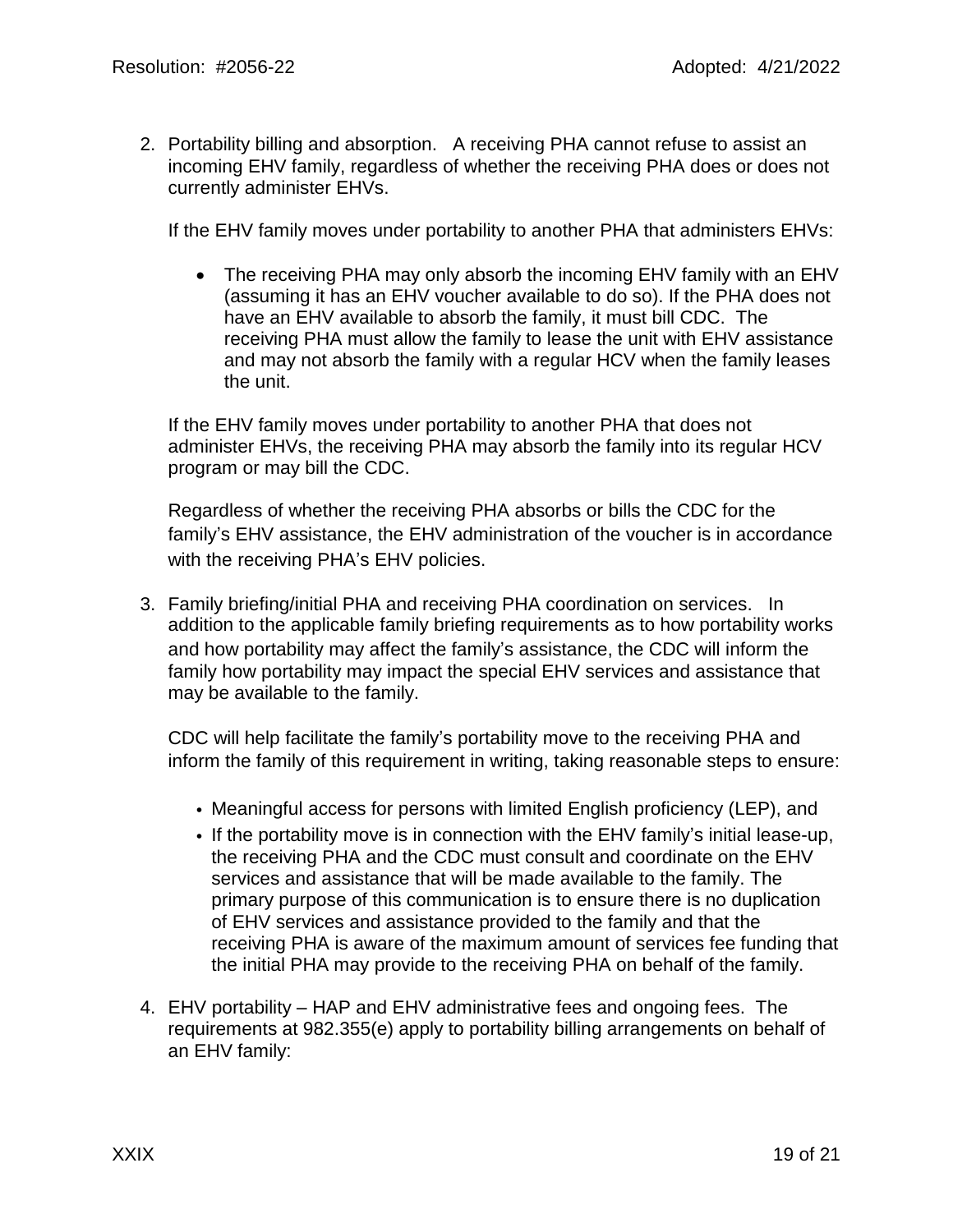2. Portability billing and absorption. A receiving PHA cannot refuse to assist an incoming EHV family, regardless of whether the receiving PHA does or does not currently administer EHVs.

If the EHV family moves under portability to another PHA that administers EHVs:

• The receiving PHA may only absorb the incoming EHV family with an EHV (assuming it has an EHV voucher available to do so). If the PHA does not have an EHV available to absorb the family, it must bill CDC. The receiving PHA must allow the family to lease the unit with EHV assistance and may not absorb the family with a regular HCV when the family leases the unit.

If the EHV family moves under portability to another PHA that does not administer EHVs, the receiving PHA may absorb the family into its regular HCV program or may bill the CDC.

Regardless of whether the receiving PHA absorbs or bills the CDC for the family's EHV assistance, the EHV administration of the voucher is in accordance with the receiving PHA's EHV policies.

3. Family briefing/initial PHA and receiving PHA coordination on services. In addition to the applicable family briefing requirements as to how portability works and how portability may affect the family's assistance, the CDC will inform the family how portability may impact the special EHV services and assistance that may be available to the family.

CDC will help facilitate the family's portability move to the receiving PHA and inform the family of this requirement in writing, taking reasonable steps to ensure:

- Meaningful access for persons with limited English proficiency (LEP), and
- If the portability move is in connection with the EHV family's initial lease-up, the receiving PHA and the CDC must consult and coordinate on the EHV services and assistance that will be made available to the family. The primary purpose of this communication is to ensure there is no duplication of EHV services and assistance provided to the family and that the receiving PHA is aware of the maximum amount of services fee funding that the initial PHA may provide to the receiving PHA on behalf of the family.
- 4. EHV portability HAP and EHV administrative fees and ongoing fees. The requirements at 982.355(e) apply to portability billing arrangements on behalf of an EHV family: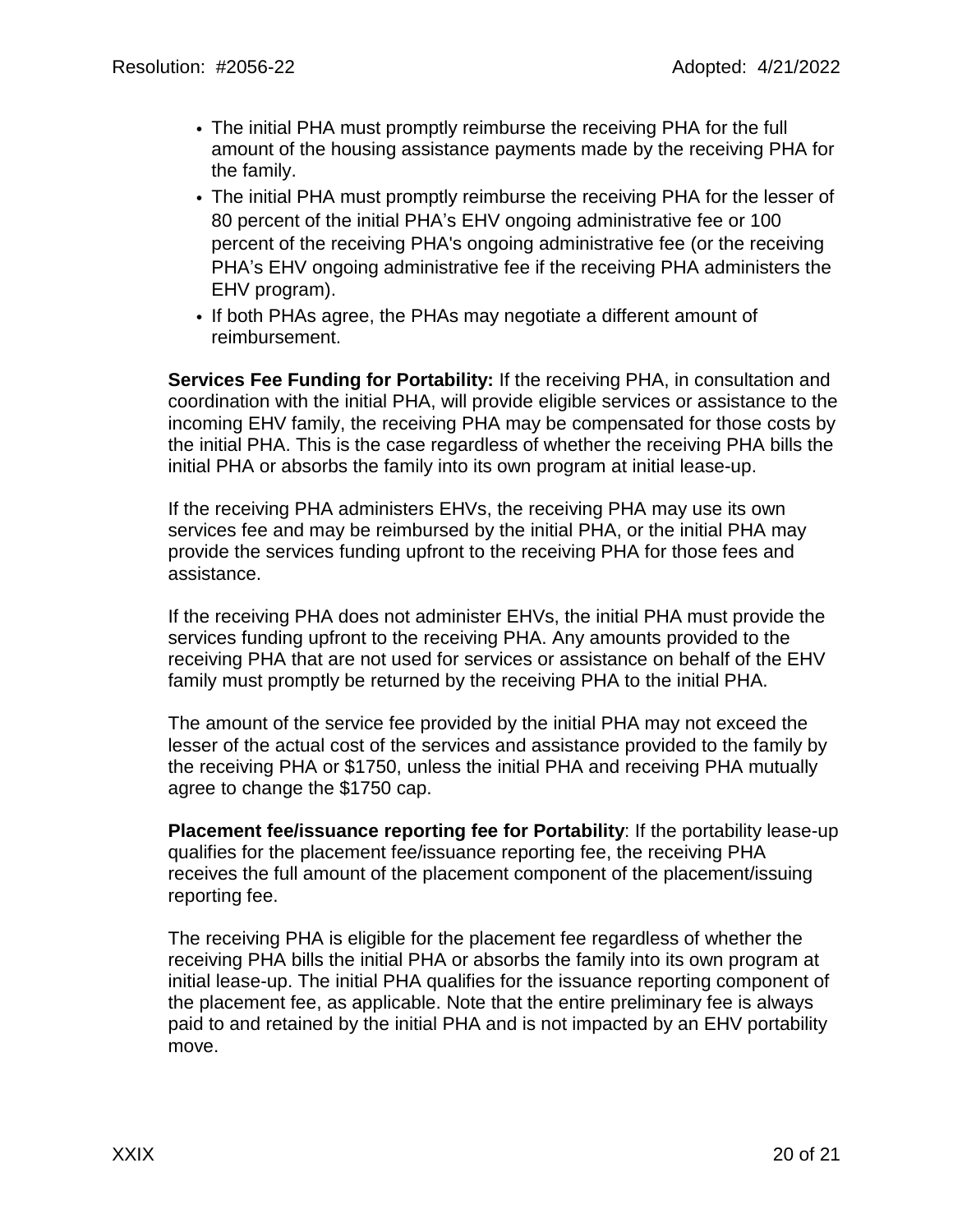- The initial PHA must promptly reimburse the receiving PHA for the full amount of the housing assistance payments made by the receiving PHA for the family.
- The initial PHA must promptly reimburse the receiving PHA for the lesser of 80 percent of the initial PHA's EHV ongoing administrative fee or 100 percent of the receiving PHA's ongoing administrative fee (or the receiving PHA's EHV ongoing administrative fee if the receiving PHA administers the EHV program).
- If both PHAs agree, the PHAs may negotiate a different amount of reimbursement.

**Services Fee Funding for Portability:** If the receiving PHA, in consultation and coordination with the initial PHA, will provide eligible services or assistance to the incoming EHV family, the receiving PHA may be compensated for those costs by the initial PHA. This is the case regardless of whether the receiving PHA bills the initial PHA or absorbs the family into its own program at initial lease-up.

If the receiving PHA administers EHVs, the receiving PHA may use its own services fee and may be reimbursed by the initial PHA, or the initial PHA may provide the services funding upfront to the receiving PHA for those fees and assistance.

If the receiving PHA does not administer EHVs, the initial PHA must provide the services funding upfront to the receiving PHA. Any amounts provided to the receiving PHA that are not used for services or assistance on behalf of the EHV family must promptly be returned by the receiving PHA to the initial PHA.

The amount of the service fee provided by the initial PHA may not exceed the lesser of the actual cost of the services and assistance provided to the family by the receiving PHA or \$1750, unless the initial PHA and receiving PHA mutually agree to change the \$1750 cap.

**Placement fee/issuance reporting fee for Portability**: If the portability lease-up qualifies for the placement fee/issuance reporting fee, the receiving PHA receives the full amount of the placement component of the placement/issuing reporting fee.

The receiving PHA is eligible for the placement fee regardless of whether the receiving PHA bills the initial PHA or absorbs the family into its own program at initial lease-up. The initial PHA qualifies for the issuance reporting component of the placement fee, as applicable. Note that the entire preliminary fee is always paid to and retained by the initial PHA and is not impacted by an EHV portability move.